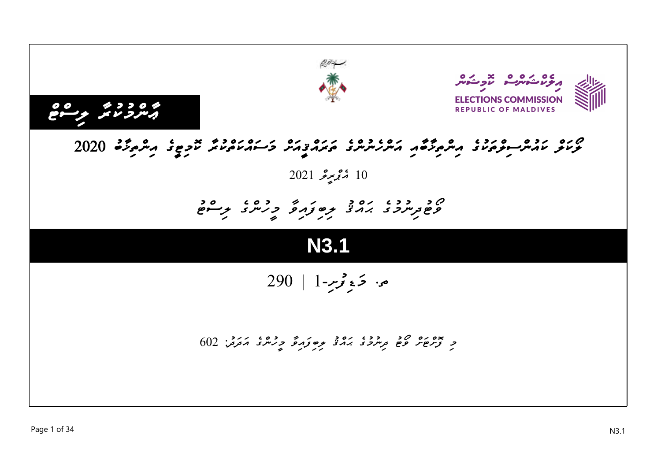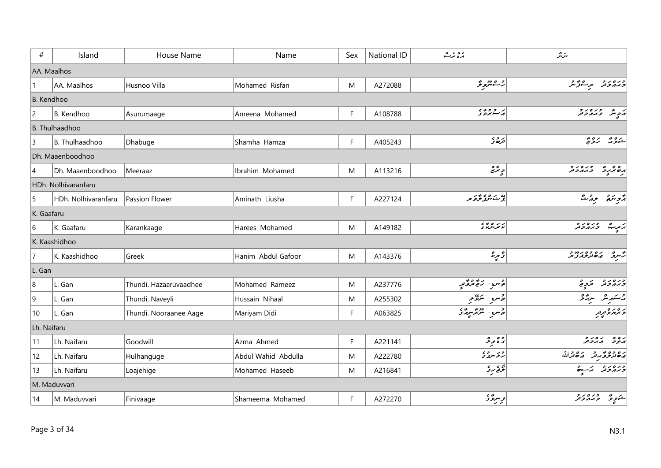| #           | Island              | House Name             | Name                | Sex       | National ID | ، ه ، مرگ<br>پر <u>۽</u> مرگ                                                                                   | ىئرىتر                                          |  |  |
|-------------|---------------------|------------------------|---------------------|-----------|-------------|----------------------------------------------------------------------------------------------------------------|-------------------------------------------------|--|--|
|             | AA. Maalhos         |                        |                     |           |             |                                                                                                                |                                                 |  |  |
|             | AA. Maalhos         | Husnoo Villa           | Mohamed Risfan      | M         | A272088     | <sub>رح م</sub> یژ <sub>ه ن</sub> و                                                                            | ورەرو برخوش                                     |  |  |
| B. Kendhoo  |                     |                        |                     |           |             |                                                                                                                |                                                 |  |  |
| 2           | B. Kendhoo          | Asurumaage             | Ameena Mohamed      | F         | A108788     | ر د د ده ،<br>د سنترو د                                                                                        | أروش وره دو                                     |  |  |
|             | B. Thulhaadhoo      |                        |                     |           |             |                                                                                                                |                                                 |  |  |
| 3           | B. Thulhaadhoo      | Dhabuge                | Shamha Hamza        | F         | A405243     | ر و ،<br>تر <i>ه</i> د                                                                                         | شۇر ئەرەپ                                       |  |  |
|             | Dh. Maaenboodhoo    |                        |                     |           |             |                                                                                                                |                                                 |  |  |
|             | Dh. Maaenboodhoo    | Meeraaz                | Ibrahim Mohamed     | M         | A113216     | حريمهم                                                                                                         | תפתקים במחכת                                    |  |  |
|             | HDh. Nolhivaranfaru |                        |                     |           |             |                                                                                                                |                                                 |  |  |
| 5           | HDh. Nolhivaranfaru | Passion Flower         | Aminath Liusha      | F         | A227124     | ە ئەشەھەر بەر<br><mark>جۇ شەھ</mark> ىر بىرى                                                                   | أزويتهم وارشأ                                   |  |  |
| K. Gaafaru  |                     |                        |                     |           |             |                                                                                                                |                                                 |  |  |
| 6           | K. Gaafaru          | Karankaage             | Harees Mohamed      | ${\sf M}$ | A149182     | ر ر ه و ،<br>ما موسور                                                                                          | برىيە<br>و رە ر د<br><i>د ب</i> رگرىز           |  |  |
|             | K. Kaashidhoo       |                        |                     |           |             |                                                                                                                |                                                 |  |  |
| 7           | K. Kaashidhoo       | Greek                  | Hanim Abdul Gafoor  | M         | A143376     | ئەمەير                                                                                                         | و ده ده ده درود و<br>د سرچ می هنرم د بر         |  |  |
| L. Gan      |                     |                        |                     |           |             |                                                                                                                |                                                 |  |  |
| 8           | L. Gan              | Thundi. Hazaaruvaadhee | Mohamed Rameez      | M         | A237776     | توسع · سنة ترة قريبه                                                                                           | ورور و در و                                     |  |  |
| 9           | LL. Gan             | Thundi. Naveyli        | Hussain Nihaal      | M         | A255302     | قرسد بسنگامر                                                                                                   | 2 سەر شەرىپى بىر بىر بىر ئايان ئىلگەن.<br>مەنبە |  |  |
| 10          | L. Gan              | Thundi. Nooraanee Aage | Mariyam Didi        | F.        | A063825     | ة سومبر تقرير من المعنى المستورج المحمد المستورج المستورج المستورج المستورج المستورج المستورج المستورج المستور | تر ه بره در در                                  |  |  |
| Lh. Naifaru |                     |                        |                     |           |             |                                                                                                                |                                                 |  |  |
| 11          | Lh. Naifaru         | Goodwill               | Azma Ahmed          | F.        | A221141     | د ، و ژ                                                                                                        | رەپ رەرد                                        |  |  |
| 12          | Lh. Naifaru         | Hulhanguge             | Abdul Wahid Abdulla | M         | A222780     | و ر د د ه<br>رنگ سرند و                                                                                        | ره وه در و بره دالله<br>مصر در مصر              |  |  |
| 13          | Lh. Naifaru         | Loajehige              | Mohamed Haseeb      | M         | A216841     | ہ ء ء<br> عريق سر تر                                                                                           | وره رو برسره                                    |  |  |
|             | M. Maduvvari        |                        |                     |           |             |                                                                                                                |                                                 |  |  |
| 14          | M. Maduvvari        | Finivaage              | Shameema Mohamed    | F         | A272270     | و سرچ <sup>ي</sup>                                                                                             | شَرِوحْ وبرودرو                                 |  |  |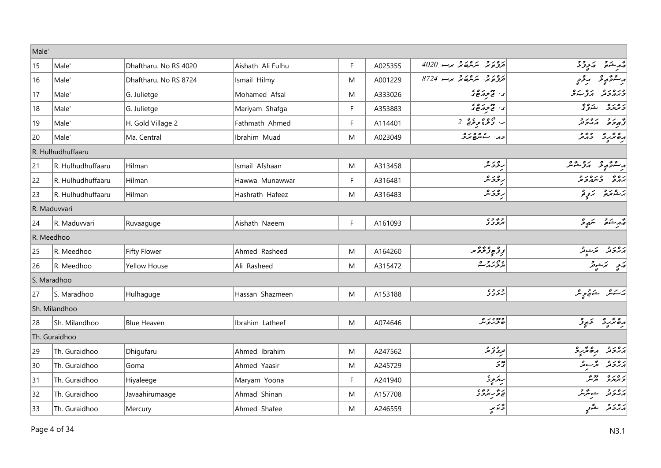| Male' |                   |                       |                   |             |         |                                               |                                                                                                                                             |
|-------|-------------------|-----------------------|-------------------|-------------|---------|-----------------------------------------------|---------------------------------------------------------------------------------------------------------------------------------------------|
| 15    | Male'             | Dhaftharu. No RS 4020 | Aishath Ali Fulhu | $\mathsf F$ | A025355 | ترۇم تى. ئىر شەك ئىر سىر 4020                 |                                                                                                                                             |
| 16    | Male'             | Dhaftharu. No RS 8724 | Ismail Hilmy      | M           | A001229 | رەرى. سەھەتە بوسى 3724                        | وستوفي والمولج                                                                                                                              |
| 17    | Male'             | G. Julietge           | Mohamed Afsal     | M           | A333026 | د . قوم وه و<br>د . قوم هو                    |                                                                                                                                             |
| 18    | Male'             | G. Julietge           | Mariyam Shafqa    | F           | A353883 | د به محتجز مرضور به د                         | رەرە شەدق                                                                                                                                   |
| 19    | Male'             | H. Gold Village 2     | Fathmath Ahmed    | F           | A114401 | 289990                                        | تو رو ره رو                                                                                                                                 |
| 20    | Male'             | Ma. Central           | Ibrahim Muad      | M           | A023049 | ور. سامبره بره                                | $500$<br>$700$<br>$700$                                                                                                                     |
|       | R. Hulhudhuffaaru |                       |                   |             |         |                                               |                                                                                                                                             |
| 21    | R. Hulhudhuffaaru | Hilman                | Ismail Afshaan    | ${\sf M}$   | A313458 | ىر بۇ جەنگە                                   | ر قرم دو شهر                                                                                                                                |
| 22    | R. Hulhudhuffaaru | Hilman                | Hawwa Munawwar    | F           | A316481 | ىر بۇ ئەنگە                                   |                                                                                                                                             |
| 23    | R. Hulhudhuffaaru | Hilman                | Hashrath Hafeez   | M           | A316483 | بەبۇر بىر                                     | برجوبرة بروة                                                                                                                                |
|       | R. Maduvvari      |                       |                   |             |         |                                               |                                                                                                                                             |
| 24    | R. Maduvvari      | Ruvaaguge             | Aishath Naeem     | F           | A161093 | و پر و ،<br>بوړۍ ی                            | وأرشكم سمدفر                                                                                                                                |
|       | R. Meedhoo        |                       |                   |             |         |                                               |                                                                                                                                             |
| 25    | R. Meedhoo        | <b>Fifty Flower</b>   | Ahmed Rasheed     | ${\sf M}$   | A164260 | <mark>ر</mark> ژېچ ژ ځر ته بر                 | رور كريدر كريدر كريدر كريدر كريد.<br>مركز كريدر كريدر كريدر كريدر كريدر كريدر كريد.<br>مركز كريدر كريدر كريدر كريدر كريدر كريدر كريدر كريد. |
| 26    | R. Meedhoo        | <b>Yellow House</b>   | Ali Rasheed       | M           | A315472 | بروروے                                        |                                                                                                                                             |
|       | S. Maradhoo       |                       |                   |             |         |                                               |                                                                                                                                             |
| 27    | S. Maradhoo       | Hulhaguge             | Hassan Shazmeen   | ${\sf M}$   | A153188 | و ر و ،<br>رند و و                            | برسكس كمشيح وينكر                                                                                                                           |
|       | Sh. Milandhoo     |                       |                   |             |         |                                               |                                                                                                                                             |
| 28    | Sh. Milandhoo     | <b>Blue Heaven</b>    | Ibrahim Latheef   | M           | A074646 | و دو ، ر ه<br>ت <i>ه محر ر</i> چگ             | رە ئۆر ئەر                                                                                                                                  |
|       | Th. Guraidhoo     |                       |                   |             |         |                                               |                                                                                                                                             |
| 29    | Th. Guraidhoo     | Dhigufaru             | Ahmed Ibrahim     | ${\sf M}$   | A247562 | ور <sup>5</sup> تر 2<br>مر <sup>5</sup> تو مر | أرور وه محمدة                                                                                                                               |
| 30    | Th. Guraidhoo     | Goma                  | Ahmed Yaasir      | ${\sf M}$   | A245729 | بيز                                           | גם גב הצייית                                                                                                                                |
| 31    | Th. Guraidhoo     | Hiyaleege             | Maryam Yoona      | $\mathsf F$ | A241940 | رېزېږ <sup>ي</sup><br>تر                      | ودير<br>ر ه ر ه<br><del>ر</del> بربرگ                                                                                                       |
| 32    | Th. Guraidhoo     | Javaahirumaage        | Ahmad Shinan      | M           | A157708 | ر په روپړ<br>مخ کار پروژ                      | بر ه بر و<br>م <i>. ب</i> ر <del>و</del> تر<br>ے مگر مگر<br>—                                                                               |
| 33    | Th. Guraidhoo     | Mercury               | Ahmed Shafee      | ${\sf M}$   | A246559 | د مړي<br>په                                   | رَ و رِ حَمَّ دِ                                                                                                                            |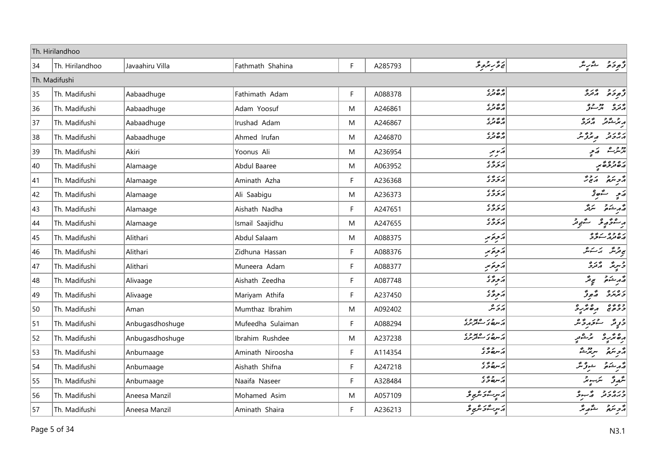|    | Th. Hirilandhoo |                 |                   |    |         |                                                               |                                        |
|----|-----------------|-----------------|-------------------|----|---------|---------------------------------------------------------------|----------------------------------------|
| 34 | Th. Hirilandhoo | Javaahiru Villa | Fathmath Shahina  | F. | A285793 | ئۇ ئۇ ئەترىرىگە                                               | قەرد شەيتر                             |
|    | Th. Madifushi   |                 |                   |    |         |                                                               |                                        |
| 35 | Th. Madifushi   | Aabaadhuge      | Fathimath Adam    | F  | A088378 | پر پر د ،<br>درگانوری                                         | و مرد<br>اقرام در م<br>پور ہ<br>مرکزو  |
| 36 | Th. Madifushi   | Aabaadhuge      | Adam Yoosuf       | M  | A246861 | پر پر و ۽<br>پر گھڻوري                                        | یرہ دورہ<br>مرکزی امریکو               |
| 37 | Th. Madifushi   | Aabaadhuge      | Irushad Adam      | M  | A246867 | ږ د د ،<br>پرځ تر <u>،</u>                                    | د بر شود و دره<br>د بر شور             |
| 38 | Th. Madifushi   | Aabaadhuge      | Ahmed Irufan      | M  | A246870 | ږ د د ،<br>د ځ تر د                                           | ره ر و و و و<br>  پربروتر په برو س     |
| 39 | Th. Madifushi   | Akiri           | Yoonus Ali        | M  | A236954 | وسمامير                                                       | دوج مجمع                               |
| 40 | Th. Madifushi   | Alamaage        | Abdul Baaree      | M  | A063952 | ر ر » ،<br>د <del>و</del> و د                                 | ره ده ده بر<br>د ه تر ژه بر            |
| 41 | Th. Madifushi   | Alamaage        | Aminath Azha      | F  | A236368 | پر پر پر                                                      | أزوينهم أروم                           |
| 42 | Th. Madifushi   | Alamaage        | Ali Saabigu       | M  | A236373 | برژی                                                          | أرشح المتفوقى                          |
| 43 | Th. Madifushi   | Alamaage        | Aishath Nadha     | F. | A247651 | ر ر » ><br>د <del>و</del> و د                                 | مەرىشىتى ئىرتىگ                        |
| 44 | Th. Madifushi   | Alamaage        | Ismail Saajidhu   | M  | A247655 | برژی                                                          | وسنوصفه مشجو                           |
| 45 | Th. Madifushi   | Alithari        | Abdul Salaam      | M  | A088375 | وكمعرضو                                                       | ره وه ر روه<br>پره تربر سوگر           |
| 46 | Th. Madifushi   | Alithari        | Zidhuna Hassan    | F  | A088376 | وكمعرضة                                                       | پر قریش   برسک <i>ش</i>                |
| 47 | Th. Madifushi   | Alithari        | Muneera Adam      | F. | A088377 | وكمعرض مبر                                                    | د پر پژوی                              |
| 48 | Th. Madifushi   | Alivaage        | Aishath Zeedha    | F  | A087748 | پەنچە                                                         | أقهر خنقى مي قد                        |
| 49 | Th. Madifushi   | Alivaage        | Mariyam Athifa    | F  | A237450 | پر یو ی                                                       | ره ده په وگ                            |
| 50 | Th. Madifushi   | Aman            | Mumthaz Ibrahim   | M  | A092402 | ەر ھ                                                          | 5, 50, 0<br>و ه ۶ ه<br><b>تر</b> تر بح |
| 51 | Th. Madifushi   | Anbugasdhoshuge | Mufeedha Sulaiman | F  | A088294 | ر سرور ده بدو د<br>در سرحاتی سوتوروی                          | دېږ شورومر                             |
| 52 | Th. Madifushi   | Anbugasdhoshuge | Ibrahim Rushdee   | M  | A237238 | د سرچ ر ۲۵ و د د<br>د سرچ د سوتورو                            | ە ھەترىرى<br>رەھىرىرى<br>تحرشة ور      |
| 53 | Th. Madifushi   | Anbumaage       | Aminath Niroosha  | F  | A114354 | ر<br>د سره د د                                                |                                        |
| 54 | Th. Madifushi   | Anbumaage       | Aishath Shifna    | F  | A247218 | بر سره و د<br>مرس ه و د                                       | ے۔ <i>و</i> سُر<br>و گرمشو د<br>مرگ    |
| 55 | Th. Madifushi   | Anbumaage       | Naaifa Naseer     | F  | A328484 | ر روپر ۽<br>مربي وي                                           | لتثميرق الترسونتر                      |
| 56 | Th. Madifushi   | Aneesa Manzil   | Mohamed Asim      | M  | A057109 | رئىبەستىر ئىسى ئى                                             | ورەرو ھُبو                             |
| 57 | Th. Madifushi   | Aneesa Manzil   | Aminath Shaira    | F. | A236213 | ئەسرىسىنىڭ ئىسىمىتىلىرىگى<br>   ئاسىمىتىلىرىكى ئىسىمىتىلىرىگى | أرتجه ستقصقه                           |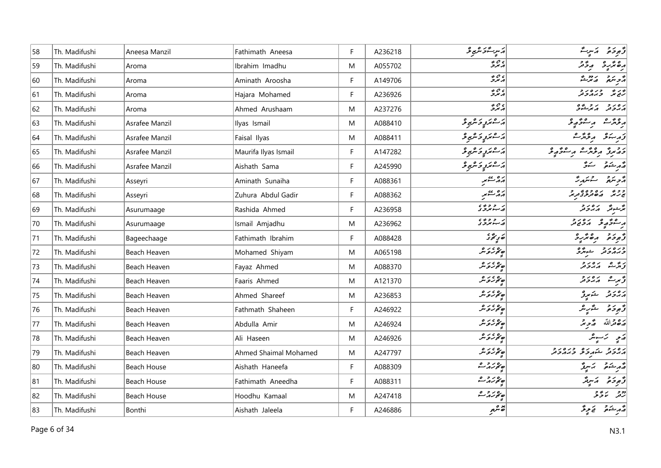| 58 | Th. Madifushi | Aneesa Manzil      | Fathimath Aneesa      | F         | A236218 | ئەس <sup>ىس</sup> ە ئەش <sub>ە</sub> ق | ۇ بوزە كەسىگە<br>كەن                                                                                                                                                               |
|----|---------------|--------------------|-----------------------|-----------|---------|----------------------------------------|------------------------------------------------------------------------------------------------------------------------------------------------------------------------------------|
| 59 | Th. Madifushi | Aroma              | Ibrahim Imadhu        | M         | A055702 | $rac{2}{2}$                            | دە ئېرىۋ<br>ەر ئەتىر                                                                                                                                                               |
| 60 | Th. Madifushi | Aroma              | Aminath Aroosha       | F         | A149706 | ی 2.0 و<br>پر بور                      | $\begin{array}{cc} \begin{array}{cc} \mathbf{1} & \mathbf{1} & \mathbf{1} \\ \mathbf{1} & \mathbf{1} & \mathbf{1} \\ \mathbf{1} & \mathbf{1} & \mathbf{1} \end{array} \end{array}$ |
| 61 | Th. Madifushi | Aroma              | Hajara Mohamed        | F         | A236926 | ی 2.0 و<br>پر بور                      | بر دره دره در<br>رقع بر دبر دبر                                                                                                                                                    |
| 62 | Th. Madifushi | Aroma              | Ahmed Arushaam        | M         | A237276 | ى مى بو<br>مەنىرى                      | رەرد رىرشۇ                                                                                                                                                                         |
| 63 | Th. Madifushi | Asrafee Manzil     | Ilyas Ismail          | M         | A088410 | ئەسكەر ئەشرىر 2                        | أروش وحدود                                                                                                                                                                         |
| 64 | Th. Madifushi | Asrafee Manzil     | Faisal Ilyas          | ${\sf M}$ | A088411 | ئەسىمەر ئەشرىم ئە                      | تەرىنى مەھەر                                                                                                                                                                       |
| 65 | Th. Madifushi | Asrafee Manzil     | Maurifa Ilyas Ismail  | F         | A147282 | ئەسىئە ئەر ئەھمىي قە                   | .<br>כתיל תלת ב תיילת                                                                                                                                                              |
| 66 | Th. Madifushi | Asrafee Manzil     | Aishath Sama          | F         | A245990 | ئەسىر ئەچرىگە ئىسى ئى                  | و د دره دره کنده کند در کند و کند در کند و کند در کند و تاریخ<br>در کار کند کند کند کند کند و کند و کند و کند و کند و کند و کند و کند و کند و کند و کند و کند و کند و کند کند ک    |
| 67 | Th. Madifushi | Asseyri            | Aminath Sunaiha       | F         | A088361 | لئەرىئىمىر                             | أروبته كمستمر                                                                                                                                                                      |
| 68 | Th. Madifushi | Asseyri            | Zuhura Abdul Gadir    | F         | A088362 | لئەرىئىمر                              | و و به دره وه به در و<br>محامله ما ما معرف توس                                                                                                                                     |
| 69 | Th. Madifushi | Asurumaage         | Rashida Ahmed         | F         | A236958 | ر و و د ،<br>ه سنورو د                 | مرکبونگر کار در در<br>مرکبونگر کاربرد تر                                                                                                                                           |
| 70 | Th. Madifushi | Asurumaage         | Ismail Amjadhu        | ${\sf M}$ | A236962 | ر و و ده ،<br>در سومرو د               | وراء وهيو المردور                                                                                                                                                                  |
| 71 | Th. Madifushi | Bageechaage        | Fathimath Ibrahim     | F         | A088428 | له د په ده<br> <br>په د                | ومجدد مقترره                                                                                                                                                                       |
| 72 | Th. Madifushi | Beach Heaven       | Mohamed Shiyam        | M         | A065198 | ھەمجە <sup>رى</sup> ھە                 | ور ٥ ر و<br>وبربروتر شوبرو                                                                                                                                                         |
| 73 | Th. Madifushi | Beach Heaven       | Fayaz Ahmed           | M         | A088370 | پەنزىر مىر<br>                         | تورش برەر د                                                                                                                                                                        |
| 74 | Th. Madifushi | Beach Heaven       | Faaris Ahmed          | M         | A121370 | پەن <sub>م</sub> رىر بىر               | وحمير مدرور                                                                                                                                                                        |
| 75 | Th. Madifushi | Beach Heaven       | Ahmed Shareef         | M         | A236853 | پەنجەنبە ئىگە                          | رەرو خىرو                                                                                                                                                                          |
| 76 | Th. Madifushi | Beach Heaven       | Fathmath Shaheen      | F         | A246922 | $rac{1}{2}$                            | رُمُورَة شَرِيرُ                                                                                                                                                                   |
| 77 | Th. Madifushi | Beach Heaven       | Abdulla Amir          | M         | A246924 | $rac{2}{2}$                            | مَدْهِ مِنْ مَدْحِ مِنْ                                                                                                                                                            |
| 78 | Th. Madifushi | Beach Heaven       | Ali Haseen            | ${\sf M}$ | A246926 | ھەممەر ھەر                             | أەي ئەسىر                                                                                                                                                                          |
| 79 | Th. Madifushi | Beach Heaven       | Ahmed Shaimal Mohamed | ${\sf M}$ | A247797 | ئەممى <i>كەن</i> گە                    | גם גב ביקריב בגברה                                                                                                                                                                 |
| 80 | Th. Madifushi | <b>Beach House</b> | Aishath Haneefa       | F         | A088309 | پەيز بر م                              |                                                                                                                                                                                    |
| 81 | Th. Madifushi | <b>Beach House</b> | Fathimath Aneedha     | F         | A088311 | ھەممەر 2                               | ۇي <sub>م</sub> ودۇ مەس <sub>ى</sub> تى                                                                                                                                            |
| 82 | Th. Madifushi | <b>Beach House</b> | Hoodhu Kamaal         | M         | A247418 | پەيمەز مەسىر                           | دد د دو                                                                                                                                                                            |
| 83 | Th. Madifushi | Bonthi             | Aishath Jaleela       | F         | A246886 | قة شهجر                                | وكرماشكم والمحافية                                                                                                                                                                 |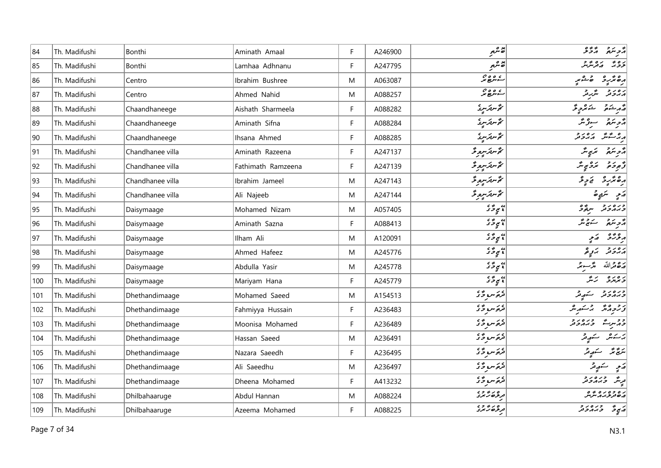| 84           | Th. Madifushi | Bonthi           | Aminath Amaal      | F         | A246900 | بره<br>صنرمج                             | پروی<br>لأحرشهم                                          |
|--------------|---------------|------------------|--------------------|-----------|---------|------------------------------------------|----------------------------------------------------------|
| 85           | Th. Madifushi | Bonthi           | Lamhaa Adhnanu     | F         | A247795 | لقسمو                                    | تزويز<br>ر ه پر د                                        |
| 86           | Th. Madifushi | Centro           | Ibrahim Bushree    | ${\sf M}$ | A063087 | بنوهونو                                  | ەرھەترىر <sup>ى</sup><br>۔<br>تھشمبر                     |
| 87           | Th. Madifushi | Centro           | Ahmed Nahid        | M         | A088257 | بنوهونو                                  | بروبرو<br>ىترىر تىر                                      |
| 88           | Th. Madifushi | Chaandhaneege    | Aishath Sharmeela  | F         | A088282 | كۇسىترسرى                                | ە ئەر ئىشى ئىش ئىشرىيە ئى                                |
| 89           | Th. Madifushi | Chaandhaneege    | Aminath Sifna      | F         | A088284 | كۇسىركىرىدىگە                            | ۇ ئەستىر سوۋىتر                                          |
| $ 90\rangle$ | Th. Madifushi | Chaandhaneege    | Ihsana Ahmed       | F         | A088285 | كۇسىرىسى؟                                | مەرشىقىش مەردىر                                          |
| 91           | Th. Madifushi | Chandhanee villa | Aminath Razeena    | F         | A247137 | ڭۇسىدىسى ئە                              | أأدمنغ المي ملاح                                         |
| 92           | Th. Madifushi | Chandhanee villa | Fathimath Ramzeena | F         | A247139 | ڭۇسىترىبى <i>رى</i> گە                   | توجو بروبي ملا                                           |
| 93           | Th. Madifushi | Chandhanee villa | Ibrahim Jameel     | M         | A247143 | ڭۇستىرسرە ئە                             | دە ئەرو<br>تح تر ر                                       |
| 94           | Th. Madifushi | Chandhanee villa | Ali Najeeb         | M         | A247144 | ڭۇستىر س <sub>ى</sub> رىگە               | أركمج التكوية                                            |
| 95           | Th. Madifushi | Daisymaage       | Mohamed Nizam      | ${\sf M}$ | A057405 | پر سرچ دی<br>  پاسم سرچ دی               | و ره ر د<br>تر پر ټر تر<br>سرگۇ ۋ                        |
| 96           | Th. Madifushi | Daisymaage       | Aminath Sazna      | F         | A088413 | » مې خړې<br>په مې خړې                    | سە ئەچە ئىگر<br>أأروسهم                                  |
| 97           | Th. Madifushi | Daisymaage       | Ilham Ali          | ${\sf M}$ | A120091 | پی په په<br>  پی پېڅن                    | أرور و الأمر                                             |
| 98           | Th. Madifushi | Daisymaage       | Ahmed Hafeez       | M         | A245776 | ۽ سچ چري<br>  ۽ سچ چر پر                 | رەرى ئېچ                                                 |
| 99           | Th. Madifushi | Daisymaage       | Abdulla Yasir      | M         | A245778 | » بر ژ ء                                 | وحدالله                                                  |
| 100          | Th. Madifushi | Daisymaage       | Mariyam Hana       | F         | A245779 | ۽ سچ چري<br>  ۽ سچ چر پر                 | ترەرە ئەش                                                |
| 101          | Th. Madifushi | Dhethandimaage   | Mohamed Saeed      | M         | A154513 | قرەر سو ۋى                               | و ره ر و<br><i>و پر</i> و تر                             |
| 102          | Th. Madifushi | Dhethandimaage   | Fahmiyya Hussain   | F         | A236483 | مَرجو سو حَرَ رَ                         | ورومه برسه                                               |
| 103          | Th. Madifushi | Dhethandimaage   | Moonisa Mohamed    | F         | A236489 | مرحو سو څرنه                             | و ره ر و<br><i>و ټ</i> ه <del>و</del> تر<br>د د سرت<br>م |
| 104          | Th. Madifushi | Dhethandimaage   | Hassan Saeed       | ${\sf M}$ | A236491 | مُرْجُو سُو حَرَ دُ                      | يركشش الكرور                                             |
| 105          | Th. Madifushi | Dhethandimaage   | Nazara Saeedh      | F         | A236495 | ې ئەھەمبىيە ئەسمىيە<br>ئىرتىرىسىمىر      | برنج تکر سکھیے تھ                                        |
| 106          | Th. Madifushi | Dhethandimaage   | Ali Saeedhu        | ${\sf M}$ | A236497 | مُر <sub>م</sub> َ سو رَّ رَ             | ړې خپرېژ<br>مړينې                                        |
| 107          | Th. Madifushi | Dhethandimaage   | Dheena Mohamed     | F         | A413232 | برېر موځ ته                              | ورش ورەرد                                                |
| 108          | Th. Madifushi | Dhilbahaaruge    | Abdul Hannan       | M         | A088224 | ه در و د و ،<br>مرمون تر بر <sub>ک</sub> | ر ه د ه ر ه ر<br>پر <i>ه تر بر</i> بر سرس                |
| 109          | Th. Madifushi | Dhilbahaaruge    | Azeema Mohamed     | F         | A088225 | و د بر و د<br>ترنون ر بر د               | הַאֲבٌ כְג <sup>וֹפְ</sup> נַ                            |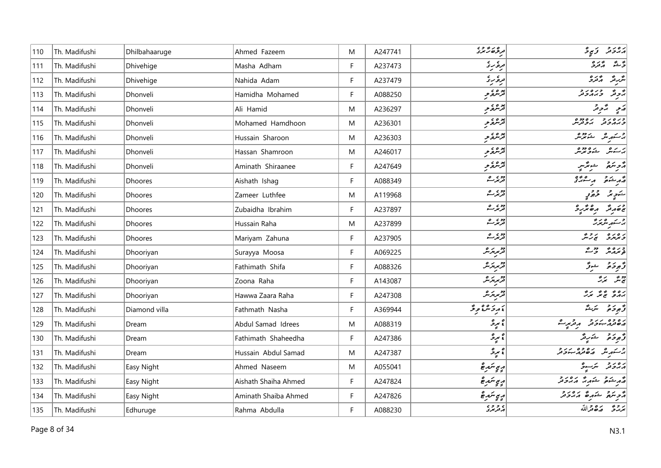| 110 | Th. Madifushi | Dhilbahaaruge  | Ahmed Fazeem         | M  | A247741 | ه در ۶ و ۷<br>درمر <i>ه ر</i> بر <sub>ک</sub> | پروژو کریږو                                                                                                                                                             |
|-----|---------------|----------------|----------------------|----|---------|-----------------------------------------------|-------------------------------------------------------------------------------------------------------------------------------------------------------------------------|
| 111 | Th. Madifushi | Dhivehige      | Masha Adham          | F. | A237473 | ىرغەرى<br>م                                   | ا گرُ شُہُ<br>پور ہ<br>پرترو                                                                                                                                            |
| 112 | Th. Madifushi | Dhivehige      | Nahida Adam          | F. | A237479 | وره<br>مره مرد                                | شر پر شر<br> <br>پور ہ<br>مرکزو                                                                                                                                         |
| 113 | Th. Madifushi | Dhonveli       | Hamidha Mohamed      | F. | A088250 | لترعرعرمه                                     | و ره ر د<br><i>و پر پ</i> رتر<br>برٌحرِ مَرٌ                                                                                                                            |
| 114 | Th. Madifushi | Dhonveli       | Ali Hamid            | M  | A236297 | مرعره مر                                      | أماسي المجموفر                                                                                                                                                          |
| 115 | Th. Madifushi | Dhonveli       | Mohamed Hamdhoon     | M  | A236301 | بره <i>۽</i><br>ترسره بر                      | ورەرو رەپچە<br><i>פەمەدىر بە</i> ۋىرس                                                                                                                                   |
| 116 | Th. Madifushi | Dhonveli       | Hussain Sharoon      | M  | A236303 | بده ،<br>ترسره م                              |                                                                                                                                                                         |
| 117 | Th. Madifushi | Dhonveli       | Hassan Shamroon      | M  | A246017 | بره ۽<br>قرمگرمو                              | يُركبش شروروه                                                                                                                                                           |
| 118 | Th. Madifushi | Dhonveli       | Aminath Shiraanee    | F  | A247649 | بر <i>۵ ۵</i><br>ترسره تر                     | ۇ ئەسكە ھەمەئىس                                                                                                                                                         |
| 119 | Th. Madifushi | <b>Dhoores</b> | Aishath Ishaq        | F  | A088349 | دد ۽ ه                                        | وكرمشق وسنرو                                                                                                                                                            |
| 120 | Th. Madifushi | <b>Dhoores</b> | Zameer Luthfee       | M  | A119968 | دد ۽ ه                                        | سَمَدٍ پُر دُمْ وَفَرَوٍ ۖ                                                                                                                                              |
| 121 | Th. Madifushi | <b>Dhoores</b> | Zubaidha Ibrahim     | F  | A237897 | دد ، م<br>تربر ک                              | ەھ ئۈرۈ<br>ح ئەمرىگە<br>ئ                                                                                                                                               |
| 122 | Th. Madifushi | <b>Dhoores</b> | Hussain Raha         | M  | A237899 | دد ی ه                                        | جەسىمەسى <i>رىگە</i>                                                                                                                                                    |
| 123 | Th. Madifushi | Dhoores        | Mariyam Zahuna       | F  | A237905 | دد ،<br>تربر گ                                | و محمد و است من محمد المحمد المحمد المحمد المحمد المحمد المحمد المحمد المحمد المحمد المحمد المحمد ال                                                                    |
| 124 | Th. Madifushi | Dhooriyan      | Surayya Moosa        | F. | A069225 | قرىرىزىگە                                     | ورەپ دوپ                                                                                                                                                                |
| 125 | Th. Madifushi | Dhooriyan      | Fathimath Shifa      | F. | A088326 | ود<br>قرىر پر مىگە                            | و دو در دارد.<br>گروه در شور                                                                                                                                            |
| 126 | Th. Madifushi | Dhooriyan      | Zoona Raha           | F  | A143087 | ود بر ه                                       | يوند برو<br>مي برو                                                                                                                                                      |
| 127 | Th. Madifushi | Dhooriyan      | Hawwa Zaara Raha     | F. | A247308 | ود بر ه<br>تر بر مر                           | $\stackrel{6}{\sim}$ $\stackrel{6}{\sim}$ $\stackrel{6}{\sim}$ $\stackrel{6}{\sim}$ $\stackrel{7}{\sim}$ $\stackrel{8}{\sim}$ $\stackrel{9}{\sim}$ $\stackrel{7}{\sim}$ |
| 128 | Th. Madifushi | Diamond villa  | Fathmath Nasha       | F. | A369944 | ئەر ئەمرى<br>ئ                                | وَّجِ حَرَمَ سَرَسَّہُ                                                                                                                                                  |
| 129 | Th. Madifushi | Dream          | Abdul Samad Idrees   | M  | A088319 | ه<br>پاسمپر                                   | גם כם גבב הבנגם                                                                                                                                                         |
| 130 | Th. Madifushi | Dream          | Fathimath Shaheedha  | F. | A247386 | ه<br>٤ سرچ                                    | وٌ و دَمَ شَرِيرٌ                                                                                                                                                       |
| 131 | Th. Madifushi | Dream          | Hussain Abdul Samad  | M  | A247387 | ه<br>٤ سرچ                                    |                                                                                                                                                                         |
| 132 | Th. Madifushi | Easy Night     | Ahmed Naseem         | M  | A055041 | ېر پي سر <sub>ک</sub> ر هخ                    | د ه د د سر سر و                                                                                                                                                         |
| 133 | Th. Madifushi | Easy Night     | Aishath Shaiha Ahmed | F  | A247824 | ېر پي سر <sub>ک</sub> ر هخ                    | وكرمشكا شكر كالمرود                                                                                                                                                     |
| 134 | Th. Madifushi | Easy Night     | Aminath Shaiba Ahmed | F  | A247826 | ېر پېړنمبر م <u>ځ</u>                         | أأوسم فسكرة أكرون                                                                                                                                                       |
| 135 | Th. Madifushi | Edhuruge       | Rahma Abdulla        | F. | A088230 | ړ و و ړ<br>پر تر <i>پر</i> ي                  | بردو رەقرالله                                                                                                                                                           |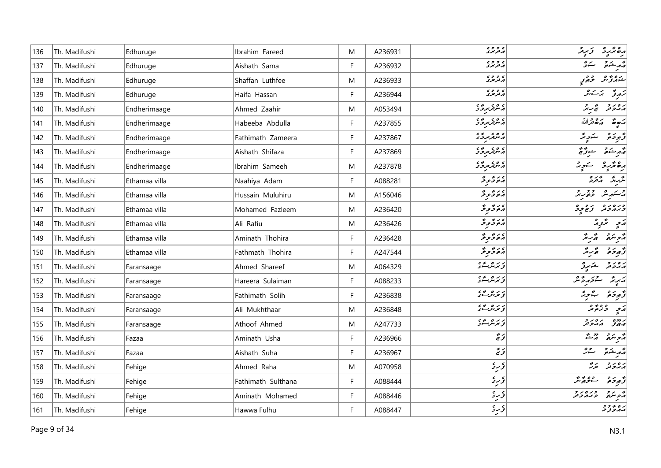| 136 | Th. Madifushi | Edhuruge      | Ibrahim Fareed     | M  | A236931 | ړ و و ړ<br>پر تر پر ي                    | $rac{6}{5}$ $rac{6}{5}$ $rac{6}{5}$<br>تو موقر |
|-----|---------------|---------------|--------------------|----|---------|------------------------------------------|------------------------------------------------|
| 137 | Th. Madifushi | Edhuruge      | Aishath Sama       | F  | A236932 | ے و و ۽<br>مرمري                         | وزمينتمو<br>ستریخ                              |
| 138 | Th. Madifushi | Edhuruge      | Shaffan Luthfee    | M  | A236933 | ے و و ے<br>پر تعریمی                     | ے <i>ہو می</i><br>خوبرتو س<br>تحيجوني          |
| 139 | Th. Madifushi | Edhuruge      | Haifa Hassan       | F. | A236944 | ے و و ے<br>پر تعریمی                     | تەرىخ<br>برسەمىر                               |
| 140 | Th. Madifushi | Endherimaage  | Ahmed Zaahir       | M  | A053494 | ء عرو بريخ د<br> مرتفر <i>بر</i> و د     | رەرو ئېرىز                                     |
| 141 | Th. Madifushi | Endherimaage  | Habeeba Abdulla    | F  | A237855 | ې ه وې په وې<br>د سرپر پر تر د           | بَرَصٍرَةٌ مَرَصْدَرَاللّهِ                    |
| 142 | Th. Madifushi | Endherimaage  | Fathimath Zameera  | F  | A237867 | پر مرکز برگری<br>  پر مرکز برگری         | ژ <sub>م</sub> ودَه شوپژ                       |
| 143 | Th. Madifushi | Endherimaage  | Aishath Shifaza    | F  | A237869 | ە ھەتىر بىر ئەي<br>مەنگە ئىر             | ۇرمۇم مۇرگە                                    |
| 144 | Th. Madifushi | Endherimaage  | Ibrahim Sameeh     | M  | A237878 | ء عروز سرچ <sub>ک</sub>                  | ە ھەترىرى<br>مەھترىرى<br>ستهور                 |
| 145 | Th. Madifushi | Ethamaa villa | Naahiya Adam       | F  | A088281 | پرېڅ عربځه                               | يتزبرقه<br>ەرگەر                               |
| 146 | Th. Madifushi | Ethamaa villa | Hussain Muluhiru   | M  | A156046 | ، رو و ژ                                 | چە سەر سىر ئىقى بىر                            |
| 147 | Th. Madifushi | Ethamaa villa | Mohamed Fazleem    | M  | A236420 | ەرەپە                                    | ورەرو ژۆرۈ                                     |
| 148 | Th. Madifushi | Ethamaa villa | Ali Rafiu          | M  | A236426 | پرېڅ عبرمحم                              | د په مود                                       |
| 149 | Th. Madifushi | Ethamaa villa | Aminath Thohira    | F  | A236428 | ، رو و ژ                                 | أروسكو<br>ە ئەرىپىتى                           |
| 150 | Th. Madifushi | Ethamaa villa | Fathmath Thohira   | F. | A247544 | ، رو و ژ                                 | ە ئەرىئە<br>ۇ بوز <sub>ە</sub>                 |
| 151 | Th. Madifushi | Faransaage    | Ahmed Shareef      | M  | A064329 | ر بر ه به په<br>نو <sup>م</sup> رمګر شنې | رەر ئىيرو                                      |
| 152 | Th. Madifushi | Faransaage    | Hareera Sulaiman   | F. | A088233 | ىر بە ھەيج<br>تونىرىشرىيە                | سەئۇر ئەش<br>برىيەتتە                          |
| 153 | Th. Madifushi | Faransaage    | Fathimath Solih    | F. | A236838 | ىر بەر ھەيج                              | سەٌور<br>ۇ بوزىر                               |
| 154 | Th. Madifushi | Faransaage    | Ali Mukhthaar      | M  | A236848 | ىر بە ھەيج<br>ئ <b>ۆس</b> رىكىسى         | أوسمج والمحافر                                 |
| 155 | Th. Madifushi | Faransaage    | Athoof Ahmed       | M  | A247733 | ىر بە ھەم يە                             | ر دده<br>در جو تر<br>پروژبر                    |
| 156 | Th. Madifushi | Fazaa         | Aminath Usha       | F  | A236966 | ترتج                                     | دويد<br>أرمز تر                                |
| 157 | Th. Madifushi | Fazaa         | Aishath Suha       | F  | A236967 | ترتج                                     | پ <sup>و</sup> مرشومی<br>مرگ<br>سترمح          |
| 158 | Th. Madifushi | Fehige        | Ahmed Raha         | M  | A070958 | ې<br>توريخ                               | ر ە ر د<br>م <i>.ئ</i> رىر<br>ىرتە             |
| 159 | Th. Madifushi | Fehige        | Fathimath Sulthana | F  | A088444 | ې<br>توريخ                               | ر 22 پر تر<br>وٌموِ وَمُح                      |
| 160 | Th. Madifushi | Fehige        | Aminath Mohamed    | F  | A088446 | كورج                                     | أأروسرة<br>و رە ر د<br><i>د ب</i> رگرىز        |
| 161 | Th. Madifushi | Fehige        | Hawwa Fulhu        | F. | A088447 | ې<br>توري                                | رە د د د<br>زەرگەنى                            |
|     |               |               |                    |    |         |                                          |                                                |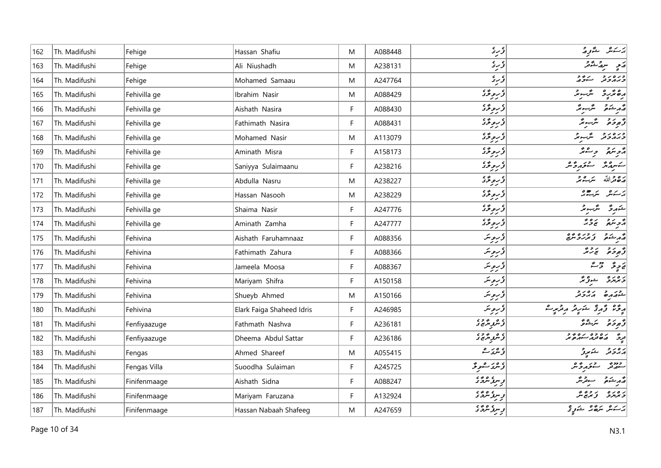| 162 | Th. Madifushi | Fehige       | Hassan Shafiu             | M  | A088448 | د ربح<br>                                  | يُرسكش الشَّارِ 2                                       |
|-----|---------------|--------------|---------------------------|----|---------|--------------------------------------------|---------------------------------------------------------|
| 163 | Th. Madifushi | Fehige       | Ali Niushadh              | M  | A238131 | ې<br>توري                                  | أوسم المتحفظة المحمدة المحمد                            |
| 164 | Th. Madifushi | Fehige       | Mohamed Samaau            | M  | A247764 | ې<br>توري                                  | ورەرو رود                                               |
| 165 | Th. Madifushi | Fehivilla ge | Ibrahim Nasir             | M  | A088429 | ا در مورد ؟<br>المرم                       | ەرھەترىرى<br>ر<br>ىگرىيەنچە                             |
| 166 | Th. Madifushi | Fehivilla ge | Aishath Nasira            | F  | A088430 | ۇروڭۇ<br>مەم                               | د<br>مگر شکور سر سر                                     |
| 167 | Th. Madifushi | Fehivilla ge | Fathimath Nasira          | F  | A088431 | ا در و ژه<br>                              | ۇۋۇۋە ئىگە                                              |
| 168 | Th. Madifushi | Fehivilla ge | Mohamed Nasir             | M  | A113079 | ۇروڭۇ                                      | ورەرو شەر                                               |
| 169 | Th. Madifushi | Fehivilla ge | Aminath Misra             | F  | A158173 | ۇ روڭۇ<br>رىر                              | أزجر سنتعر وبسائر                                       |
| 170 | Th. Madifushi | Fehivilla ge | Saniyya Sulaimaanu        | F  | A238216 | ا در مو دی<br>ا                            | سەسلەش سەئىر ئەش                                        |
| 171 | Th. Madifushi | Fehivilla ge | Abdulla Nasru             | M  | A238227 | ۇروڭۇ                                      | ەھىراللە<br>سربە بەر                                    |
| 172 | Th. Madifushi | Fehivilla ge | Hassan Nasooh             | M  | A238229 | ۇ ر <sub>ەپ</sub> ە ئەتى<br>تەرىپە         | يركسكس الكرهوم                                          |
| 173 | Th. Madifushi | Fehivilla ge | Shaima Nasir              | F  | A247776 | ا در موځۍ<br><u>ار</u>                     | شكرة الكرجة                                             |
| 174 | Th. Madifushi | Fehivilla ge | Aminath Zamha             | F  | A247777 | ۇ ر <sub>ەپ</sub> ە ئەتى<br>تەرىپە         | ג'ב יים בי                                              |
| 175 | Th. Madifushi | Fehivina     | Aishath Faruhamnaaz       | F  | A088356 | ۇروپر                                      | و در دره ده وره وه<br>در شوه و مرکز کرد                 |
| 176 | Th. Madifushi | Fehivina     | Fathimath Zahura          | F  | A088366 | ۇ <sub>مەھ بىتى</sub>                      | توجوحهم كالمرجم                                         |
| 177 | Th. Madifushi | Fehivina     | Jameela Moosa             | F  | A088367 | ۇروپر<br>مەم                               | $\frac{2}{5}$ $\frac{2}{5}$ $\frac{2}{5}$ $\frac{2}{5}$ |
| 178 | Th. Madifushi | Fehivina     | Mariyam Shifra            | F  | A150158 | ۇروپر                                      | د ۱۵ د ۱۵ وی.<br>  د بر برد ۶۶ سفونه                    |
| 179 | Th. Madifushi | Fehivina     | Shueyb Ahmed              | M  | A150166 | ۇروپىر                                     |                                                         |
| 180 | Th. Madifushi | Fehivina     | Elark Faiga Shaheed Idris | F  | A246985 | ڈرءِ بئر                                   | رٍ دُمْ رُودٌ حَدِيْهِ رَمْدِيْتْ                       |
| 181 | Th. Madifushi | Fenfiyaazuge | Fathmath Nashva           | F  | A236181 | ء عروج دي.<br> و سرو پر پي                 | وٌمودَة كرَوْهُ                                         |
| 182 | Th. Madifushi | Fenfiyaazuge | Dheema Abdul Sattar       | F  | A236186 | ئۇنترى <i>م ھەج</i>                        | ورځ د ځای ده ده د د                                     |
| 183 | Th. Madifushi | Fengas       | Ahmed Shareef             | M  | A055415 | ۇيۇرم                                      | أرەر ئىسكىرى                                            |
| 184 | Th. Madifushi | Fengas Villa | Suoodha Sulaiman          | F  | A245725 | <mark>ئ</mark> ۇ بىرى سى <sub>ھو</sub> ىتى |                                                         |
| 185 | Th. Madifushi | Finifenmaage | Aishath Sidna             | F  | A088247 | اربىدىمۇ                                   | ا پھر شدہ جس سور میں<br>مرید شدہ مرید                   |
| 186 | Th. Madifushi | Finifenmaage | Mariyam Faruzana          | F. | A132924 | اربىر ئىقتى                                | رەرە رومۇ                                               |
| 187 | Th. Madifushi | Finifenmaage | Hassan Nabaah Shafeeg     | M  | A247659 | <i>و</i> سرو مردی                          | يركبش لتركي في الشورة                                   |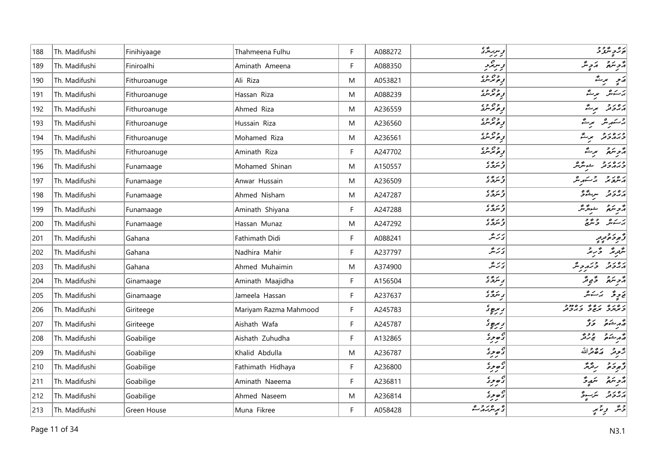| 188 | Th. Madifushi | Finihiyaage  | Thahmeena Fulhu       | F  | A088272 | و سربر پر می<br>مربر بر                        |                                      |
|-----|---------------|--------------|-----------------------|----|---------|------------------------------------------------|--------------------------------------|
| 189 | Th. Madifushi | Finiroalhi   | Aminath Ameena        | F. | A088350 | وسرچمو                                         |                                      |
| 190 | Th. Madifushi | Fithuroanuge | Ali Riza              | M  | A053821 | وه وه<br>د وړند                                |                                      |
| 191 | Th. Madifushi | Fithuroanuge | Hassan Riza           | M  | A088239 | وه وه و،<br>پوهوسر                             | ر<br>رىكىش بىرىنگە                   |
| 192 | Th. Madifushi | Fithuroanuge | Ahmed Riza            | M  | A236559 | و ۵ و ۷<br>تو ه مرس                            | رەر دىر                              |
| 193 | Th. Madifushi | Fithuroanuge | Hussain Riza          | M  | A236560 | وه ور                                          | برستېرىش بىرىنگە                     |
| 194 | Th. Madifushi | Fithuroanuge | Mohamed Riza          | M  | A236561 | وه وه<br>پوه ترسمه                             | و ر ه ر د<br>تر بر بر تر<br>ىرىگە    |
| 195 | Th. Madifushi | Fithuroanuge | Aminath Riza          | F  | A247702 | وه و،<br>پوه ترس                               | أأترجع برت                           |
| 196 | Th. Madifushi | Funamaage    | Mohamed Shinan        | M  | A150557 | و پر پر پر<br>توسر <del>ی</del> ر <sub>ک</sub> | ورەرو ھەر<br><i>جەم</i> ەدىر ھەش     |
| 197 | Th. Madifushi | Funamaage    | Anwar Hussain         | M  | A236509 | و پر پر پر<br>توسر <del>ی</del> ر <sub>ک</sub> | برەر دىم بر ئىسكىرىش                 |
| 198 | Th. Madifushi | Funamaage    | Ahmed Nisham          | M  | A247287 | و پر پر پر<br>توسر <del>ی</del> ر <sub>ک</sub> | رەر د سرگە                           |
| 199 | Th. Madifushi | Funamaage    | Aminath Shiyana       | F. | A247288 | و بر پر پر<br>توسرچری                          | أرمز<br>شەدگرىگر                     |
| 200 | Th. Madifushi | Funamaage    | Hassan Munaz          | M  | A247292 | و ر د د<br>توسرچ د                             | يرك مراسم والمرج                     |
| 201 | Th. Madifushi | Gahana       | Fathimath Didi        | F  | A088241 | ىزىر                                           | ا توج و گورمر<br>اگر گرد کا موسیق    |
| 202 | Th. Madifushi | Gahana       | Nadhira Mahir         | F  | A237797 | ىر ئە<br>ئ                                     | ترمرنز ومرتز                         |
| 203 | Th. Madifushi | Gahana       | Ahmed Muhaimin        | M  | A374900 | ىز ئەنگە                                       | גפניק בלקבית                         |
| 204 | Th. Madifushi | Ginamaage    | Aminath Maajidha      | F  | A156504 | ر بر د ء<br><sub>م</sub> سرچ د                 | مەر ئىبر ئەھمى ئە                    |
| 205 | Th. Madifushi | Ginamaage    | Jameela Hassan        | F  | A237637 | ر بر د و<br><sub>م</sub> سرچ د                 | قاج في الاسكانس                      |
| 206 | Th. Madifushi | Giriteege    | Mariyam Razma Mahmood | F  | A245783 | ۍ مربو ځ<br>تر تر پخ                           | ג סגם גם ג הסביב<br>במחבר משכ"ב הבית |
| 207 | Th. Madifushi | Giriteege    | Aishath Wafa          | F  | A245787 | <br>  ریمرچونځ                                 | ړٌ پر شکو گرگه                       |
| 208 | Th. Madifushi | Goabilige    | Aishath Zuhudha       | F  | A132865 | ج حوي<br>د حوي                                 | و مرکز در در<br>مرکز میگرفتر         |
| 209 | Th. Madifushi | Goabilige    | Khalid Abdulla        | M  | A236787 | ج<br>د حود                                     | أتشعريتم وكافقالله                   |
| 210 | Th. Madifushi | Goabilige    | Fathimath Hidhaya     | F  | A236800 | م<br>  ئى ھىرى<br>--                           | وَجِعِدَهُ رِمَّزَمَّ                |
| 211 | Th. Madifushi | Goabilige    | Aminath Naeema        | F  | A236811 | م<br>توھوتە                                    | پ <sup>و</sup> پر پر د<br>سكەچە      |
| 212 | Th. Madifushi | Goabilige    | Ahmed Naseem          | M  | A236814 | ہ<br>د حود                                     | ر ەر د<br>م <i>.ر</i> وتر<br>ىئرسەۋ  |
| 213 | Th. Madifushi | Green House  | Muna Fikree           | F  | A058428 | ە بىر بىر <i>بەر 2</i>                         | وثقر وبنمير                          |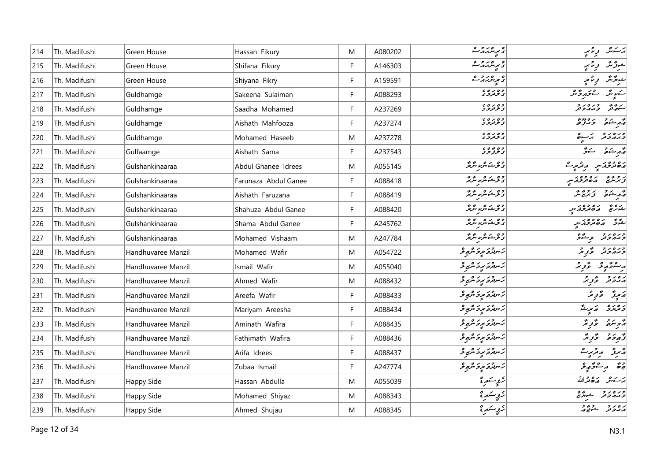| 214 | Th. Madifushi | Green House        | Hassan Fikury        | M         | A080202 | <sub>می پی</sub> ر پر چرم<br>  <sub>می</sub> پر پر پر چ | بزسەيىتە<br>و رقم پر                    |
|-----|---------------|--------------------|----------------------|-----------|---------|---------------------------------------------------------|-----------------------------------------|
| 215 | Th. Madifushi | Green House        | Shifana Fikury       | F         | A146303 | ە يەيە <i>ر ج</i> ەر                                    | شورٌ مُرٌ<br>  _                        |
| 216 | Th. Madifushi | Green House        | Shiyana Fikry        | F         | A159591 | ە بەي <i>رىدى</i> ر ھ                                   | المشورثين<br>ورثم يپر                   |
| 217 | Th. Madifushi | Guldhamge          | Sakeena Sulaiman     | F         | A088293 |                                                         | سەمەر ئەھ<br>سەَ بېرىتىر                |
| 218 | Th. Madifushi | Guldhamge          | Saadha Mohamed       | F         | A237269 | و ه ر ه ،<br>د <del>و</del> ترو د                       | شەھ دىرەرد                              |
| 219 | Th. Madifushi | Guldhamge          | Aishath Mahfooza     | F         | A237274 | و ه ر ه ،<br>د <del>و</del> ترو د                       | و در ده ده ده دره<br>درگاه سنگور        |
| 220 | Th. Madifushi | Guldhamge          | Mohamed Haseeb       | M         | A237278 | و ه د ه ،<br>د نرترو د                                  | כנסנפ גבים                              |
| 221 | Th. Madifushi | Gulfaamge          | Aishath Sama         | F         | A237543 | وه پره ،<br>د <del>و</del> نو <del>و</del> د            | ۇرىشقى سىۋ                              |
| 222 | Th. Madifushi | Gulshankinaaraa    | Abdul Ghanee Idrees  | ${\sf M}$ | A055145 | ر و شەشرى <i>ر مىڭ</i> ر                                | ה פיניה היה הריי                        |
| 223 | Th. Madifushi | Gulshankinaaraa    | Farunaza Abdul Ganee | F         | A088418 | ر و شەشرىر مى <i>رىگە</i>                               | ۇ برىر بەھ بۇرۇر بىر                    |
| 224 | Th. Madifushi | Gulshankinaaraa    | Aishath Faruzana     | F         | A088419 | <mark>روىيە مەر ئەتە</mark>                             | مەر ئىق ئۇندىخ ئىر                      |
| 225 | Th. Madifushi | Gulshankinaaraa    | Shahuza Abdul Ganee  | F         | A088420 | وە ئەمەر ئە <i>مە</i> ر ئىرى <i>گە</i>                  | رە بەرە دەرىپ                           |
| 226 | Th. Madifushi | Gulshankinaaraa    | Shama Abdul Ganee    | F         | A245762 | <mark>روىيە مەر ئەتە</mark>                             | روح ده دورس<br>شرق م <i>صور فهر</i>     |
| 227 | Th. Madifushi | Gulshankinaaraa    | Mohamed Vishaam      | ${\sf M}$ | A247784 | <mark>ۇۋىسە ئىرىدىگە</mark>                             | ورەرو پەشكى                             |
| 228 | Th. Madifushi | Handhuvaree Manzil | Mohamed Wafir        | M         | A054722 | ئەس <i>ترۇ ئېرد ئىرى</i> گى ئى                          | ورەرو ئۆتە                              |
| 229 | Th. Madifushi | Handhuvaree Manzil | Ismail Wafir         | M         | A055040 | ئەس <i>ترۇپرۇ</i> شب <sub>ۇ</sub> ۋ                     | رەش <i>ۇر قۇرى</i> ر                    |
| 230 | Th. Madifushi | Handhuvaree Manzil | Ahmed Wafir          | M         | A088432 | ژىند <i>ۇرۇ پېرى شىي ۋ</i>                              | ړه دې ځ پر                              |
| 231 | Th. Madifushi | Handhuvaree Manzil | Areefa Wafir         | F         | A088433 | ئەسەئىرى ئېرى ئىرى ئى                                   | ە ئىرۇ ھەر ئىر                          |
| 232 | Th. Madifushi | Handhuvaree Manzil | Mariyam Areesha      | F         | A088434 | ئەسەز ئەسىر ئەنگىر قە                                   | ر ه ر ه<br><del>ر</del> بربرگ<br>ەكىمەت |
| 233 | Th. Madifushi | Handhuvaree Manzil | Aminath Wafira       | F         | A088435 | ئەر <i>تۇۋېرد ت</i> ىرىج                                | ۇر ئە<br>أرمر وسره                      |
| 234 | Th. Madifushi | Handhuvaree Manzil | Fathimath Wafira     | F         | A088436 | ر <i>سرقرى پر د</i> شر <sub>ى</sub> ر د                 | تزوده قربته                             |
| 235 | Th. Madifushi | Handhuvaree Manzil | Arifa Idrees         | F         | A088437 | ئەس <i>ترۇپرىگىرى</i> گىر                               | ومجروش<br>ىر قرىر شە                    |
| 236 | Th. Madifushi | Handhuvaree Manzil | Zubaa Ismail         | F         | A247774 | ر سر <i>قری پر 1</i> 5 شر <sub>م</sub> و                | ح ق م شر <i>گو</i> نو                   |
| 237 | Th. Madifushi | <b>Happy Side</b>  | Hassan Abdulla       | ${\sf M}$ | A055039 | ر<br>موسیق مربع<br>موسیق                                | تركيش مكافرالله                         |
| 238 | Th. Madifushi | Happy Side         | Mohamed Shiyaz       | M         | A088343 | ر بوستهر ؟<br>مربع مسر                                  | و ر ه ر و<br>تر پر تر تر<br>سنودگري     |
| 239 | Th. Madifushi | Happy Side         | Ahmed Shujau         | ${\sf M}$ | A088345 | ر بو <sub>سکور</sub> ؟<br>م                             | ره ر و د و و د<br>پرېرو تر مشوقے پر     |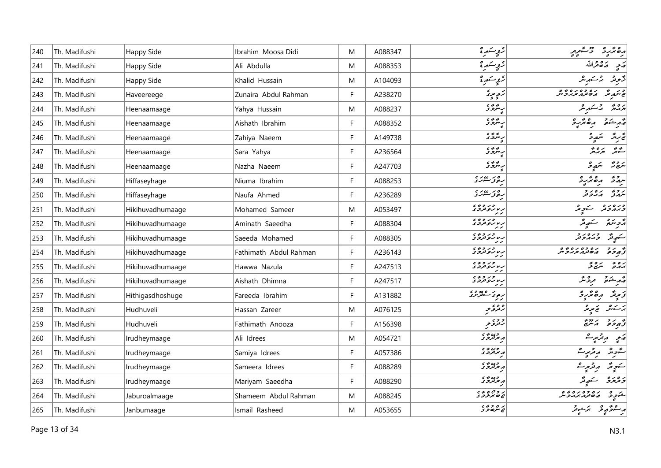| 240 | Th. Madifushi | <b>Happy Side</b> | Ibrahim Moosa Didi     | M         | A088347 | <sup>ي</sup> پوستور ؟<br>سنڌ       | د کشور در<br>مشخصیت<br>اړه تر ره<br>ر       |
|-----|---------------|-------------------|------------------------|-----------|---------|------------------------------------|---------------------------------------------|
| 241 | Th. Madifushi | <b>Happy Side</b> | Ali Abdulla            | ${\sf M}$ | A088353 | <sup>ي</sup> پ <sub>و</sub> ستهر ؟ | أتهج تدعاقدالله                             |
| 242 | Th. Madifushi | <b>Happy Side</b> | Khalid Hussain         | ${\sf M}$ | A104093 | ر بو سەر ؟<br>مۇسىسىر              | تزویر ایر شهر مر                            |
| 243 | Th. Madifushi | Haveereege        | Zunaira Abdul Rahman   | F         | A238270 | ر<br>سره ببرد                      | ره وه ره ده.<br>پره تربر <i>برب</i> رو س    |
| 244 | Th. Madifushi | Heenaamaage       | Yahya Hussain          | M         | A088237 | ر پڙھ<br>پي                        | رەپ جەسەر                                   |
| 245 | Th. Madifushi | Heenaamaage       | Aishath Ibrahim        | F         | A088352 | ر پڙھ ي<br>پيدا                    | ەھەترىرى<br>پ <sup>و</sup> پر ڪوي<br>هر     |
| 246 | Th. Madifushi | Heenaamaage       | Zahiya Naeem           | F         | A149738 | ر پور ،<br>رس پر د                 | پچ <sub>سر</sub> پژ<br>س<br>سكەچە           |
| 247 | Th. Madifushi | Heenaamaage       | Sara Yahya             | F         | A236564 | ر پوځ د<br>بر متر <del>و</del> د   | سەتە<br>بر ٥ پر<br>پورگر                    |
| 248 | Th. Madifushi | Heenaamaage       | Nazha Naeem            | F         | A247703 | ر شرو ،                            | سرچ پژ<br>سمديحه                            |
| 249 | Th. Madifushi | Hiffaseyhage      | Niuma Ibrahim          | F         | A088253 | رە ئەسىر ،                         | سرچينې<br>برە ئۆرۈ                          |
| 250 | Th. Madifushi | Hiffaseyhage      | Naufa Ahmed            | F         | A236289 | رە ئەسىر ،                         | سروی<br>پرەر د                              |
| 251 | Th. Madifushi | Hikihuvadhumaaqe  | Mohamed Sameer         | ${\sf M}$ | A053497 | ر رور و د ء<br>ر را ره ترو د       | و رە ر د<br>تر پر تر تر<br>سەر بر           |
| 252 | Th. Madifushi | Hikihuvadhumaaqe  | Aminath Saeedha        | F         | A088304 | ار روروسی<br>پر روپوری             | أرمز بنرو<br>سە پە تىر                      |
| 253 | Th. Madifushi | Hikihuvadhumaage  | Saeeda Mohamed         | F         | A088305 | ر په در ود و<br>بر په بره ترو د    | سکه قرار در در د                            |
| 254 | Th. Madifushi | Hikihuvadhumaaqe  | Fathimath Abdul Rahman | F         | A236143 | ر ر و د و د ،<br>ر د ر و ترو د     | ر ه د ه د ه د ه<br>پره تربر تر س<br>ۇ بور د |
| 255 | Th. Madifushi | Hikihuvadhumaage  | Hawwa Nazula           | F         | A247513 | ر ر و د و د و<br>ر ر ر ه ترو د     | ر ه و<br>برد و<br>سرە ئۇ                    |
| 256 | Th. Madifushi | Hikihuvadhumaage  | Aishath Dhimna         | F         | A247517 | ر رو و و و ء<br>ر د رو ترو د       | وكركو ترونكر                                |
| 257 | Th. Madifushi | Hithigasdhoshuge  | Fareeda Ibrahim        | F         | A131882 | ر صد و بر<br>ره د کستورنرد<br>ر    | زَىبِيْرَ رەھزىرد                           |
| 258 | Th. Madifushi | Hudhuveli         | Hassan Zareer          | M         | A076125 | أرقرة مو                           | برسەيىتە<br>ىج ئىپە تىر                     |
| 259 | Th. Madifushi | Hudhuveli         | Fathimath Anooza       | F         | A156398 | و و ،<br>رتو <sub>ح</sub> و مو     | بر دو پر<br>در سرج<br>ۇ بوز ئ <sup>ە</sup>  |
| 260 | Th. Madifushi | Irudheymaage      | Ali Idrees             | ${\sf M}$ | A054721 | <br>  پر برترو <sub>ک</sub>        | أريحي ويتزيد فسيح                           |
| 261 | Th. Madifushi | Irudheymaage      | Samiya Idrees          | F         | A057386 | و پره پر بر<br>در جوتور پر         | گردگر پروگریٹ                               |
| 262 | Th. Madifushi | Irudheymaage      | Sameera Idrees         | F         | A088289 | و دره بو د<br>در موتور و           | ىر پەرسە<br>سكوپتر                          |
| 263 | Th. Madifushi | Irudheymaage      | Mariyam Saeedha        | F         | A088290 | و ده و د و<br>در موتور و د         | ر ه ر ه<br>تر بر بر<br>ستهيقر               |
| 264 | Th. Madifushi | Jaburoalmaage     | Shameem Abdul Rahman   | M         | A088245 | ر و ۵ و و ء<br>ق حا مرنو و د       | ره وه ره ده<br>په ه تو پر بر بر<br>شکو و و  |
| 265 | Th. Madifushi | Janbumaage        | Ismail Rasheed         | ${\sf M}$ | A053655 | ر ه د و »<br>تع سره تر د           | أرسوق موسوقه                                |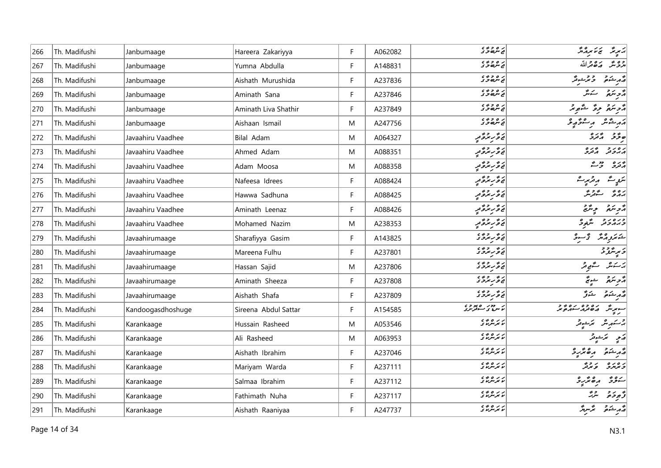| 266 | Th. Madifushi | Janbumaage        | Hareera Zakariyya    | F  | A062082 | ر ه و و »<br>تع سرچ تر د                    | يَسِيدُ نَاسَمِيدُهُ                                               |
|-----|---------------|-------------------|----------------------|----|---------|---------------------------------------------|--------------------------------------------------------------------|
| 267 | Th. Madifushi | Janbumaage        | Yumna Abdulla        | F. | A148831 | ر ه و و »<br>تع سره تر د                    | ووير روورالله                                                      |
| 268 | Th. Madifushi | Janbumaage        | Aishath Murushida    | F. | A237836 | ر ه د و و ،<br>تع سر <del>ه</del> تر د      | و<br>درشن و در                                                     |
| 269 | Th. Madifushi | Janbumaage        | Aminath Sana         | F  | A237846 | ر ه د و »<br>تع سره تر د                    | أأترسم<br>سەئىر                                                    |
| 270 | Th. Madifushi | Janbumaage        | Aminath Liva Shathir | F  | A237849 | ر ه د و و ،<br>تع سرچ تر د                  | أزويتم ووالمشاور                                                   |
| 271 | Th. Madifushi | Janbumaage        | Aishaan Ismail       | M  | A247756 | ر ه د د »<br>د سره تر د                     | أروشة ومعقوبة                                                      |
| 272 | Th. Madifushi | Javaahiru Vaadhee | <b>Bilal Adam</b>    | M  | A064327 | ئے قریر ترقی پر                             | ے پڑو گردہ                                                         |
| 273 | Th. Madifushi | Javaahiru Vaadhee | Ahmed Adam           | M  | A088351 | انچ قریر قرقور<br>اسمبر مرگور               | ر ەر ج<br>مەركى<br>پور ہ<br>مرکزو                                  |
| 274 | Th. Madifushi | Javaahiru Vaadhee | Adam Moosa           | M  | A088358 | ئے قرٌ سر ترقّر میں                         | پەرە<br>مەنىرى<br>دريجه                                            |
| 275 | Th. Madifushi | Javaahiru Vaadhee | Nafeesa Idrees       | F  | A088424 | ئەڭرىر ئەر                                  | سَرَرٍ مُتَهَ<br>ەر قرىر م                                         |
| 276 | Th. Madifushi | Javaahiru Vaadhee | Hawwa Sadhuna        | F. | A088425 | <br>  ئ قرىر بىرقە تىر                      | برەپچ<br>شۇقرىتر                                                   |
| 277 | Th. Madifushi | Javaahiru Vaadhee | Aminath Leenaz       | F  | A088426 | ئەقرىر قەقر                                 | أزويتهم ويترجح                                                     |
| 278 | Th. Madifushi | Javaahiru Vaadhee | Mohamed Nazim        | M  | A238353 | پر ځر برهٌ مړ                               | و ره ر د<br>تر پر ژنر<br>سَّرْهُ رُ                                |
| 279 | Th. Madifushi | Javaahirumaage    | Sharafiyya Gasim     | F  | A143825 | پر څر پر چري<br>  پر ځر پر چر <sub>چر</sub> | خىترومۇ ئىسرو                                                      |
| 280 | Th. Madifushi | Javaahirumaage    | Mareena Fulhu        | F  | A237801 | ر و بر و و ،<br>نح قر بر و د                | ائە بېرىترو 2<br>كەنبە                                             |
| 281 | Th. Madifushi | Javaahirumaage    | Hassan Sajid         | M  | A237806 | پرځ په چرې                                  | بر سەھ <sub>ر</sub> ئىستقى <sub>ر</sub> ئىر                        |
| 282 | Th. Madifushi | Javaahirumaage    | Aminath Sheeza       | F. | A237808 | ریم رچ دی<br>  بی قر برقری                  | أرمز<br>سنونج                                                      |
| 283 | Th. Madifushi | Javaahirumaage    | Aishath Shafa        | F. | A237809 | پرءُ رِ حري                                 | و<br>مەرىشىمى ئىشىر                                                |
| 284 | Th. Madifushi | Kandoogasdhoshuge | Sireena Abdul Sattar | F. | A154585 | ر رود ر ه پو د د<br>را سره ی سندلوس         | ره وه ره دو <del>.</del><br>پره توپر سوړنو تر<br>اسىيەتىر<br>مەنبە |
| 285 | Th. Madifushi | Karankaage        | Hussain Rasheed      | M  | A053546 | ر ر ه و د ،<br>ما <del>ب</del> رس د د       | رخمرش المرشوقر                                                     |
| 286 | Th. Madifushi | Karankaage        | Ali Rasheed          | M  | A063953 | ر ر ه و د ،<br>ما مرس د د                   | أركمني المركب وكر                                                  |
| 287 | Th. Madifushi | Karankaage        | Aishath Ibrahim      | F  | A237046 | ر ر ه و د ،<br>ما مرس د د                   | و مر شو د<br>مر<br>دە ئەرۋ                                         |
| 288 | Th. Madifushi | Karankaage        | Mariyam Warda        | F  | A237111 | ر رەپەر<br>مايىرىنزىرى                      | ر ه ر ه<br><del>د</del> بربرو<br>ر و ر<br>و برتر                   |
| 289 | Th. Madifushi | Karankaage        | Salmaa Ibrahim       | F. | A237112 | ر ر ه و د ،<br>ما <del>ب</del> رس د د       | سەۋى<br>ەر ھەترىر <i>ۋ</i>                                         |
| 290 | Th. Madifushi | Karankaage        | Fathimath Nuha       | F  | A237117 | ر ره ۶۵<br>با بر مربو <sub>ک</sub>          | ىترتر<br>ۇ بوز ئە                                                  |
| 291 | Th. Madifushi | Karankaage        | Aishath Raaniyaa     | F  | A247737 | ر ر ه و د ،<br>ما بر سرد د                  | وُرىشو ئرسر                                                        |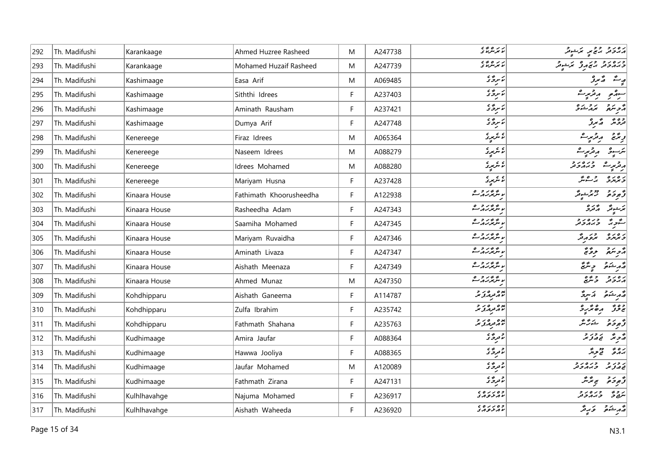| 292 | Th. Madifushi | Karankaage    | Ahmed Huzree Rasheed    | M  | A247738 | ر ره ۶۵<br>ما بر مرکز                     | أرورو رومي برسوم                                          |
|-----|---------------|---------------|-------------------------|----|---------|-------------------------------------------|-----------------------------------------------------------|
| 293 | Th. Madifushi | Karankaage    | Mohamed Huzaif Rasheed  | M  | A247739 | ر ر ه و ،<br>ما مرس د د                   | ورەرو دىرو مەس                                            |
| 294 | Th. Madifushi | Kashimaage    | Easa Arif               | M  | A069485 | ر<br>مأمرچۍ                               | اریش گرمبرو<br>ا                                          |
| 295 | Th. Madifushi | Kashimaage    | Siththi Idrees          | F  | A237403 | ړ<br>ماسرچۍ                               | سوړه ورترېږگ                                              |
| 296 | Th. Madifushi | Kashimaage    | Aminath Rausham         | F  | A237421 | ړ<br>ماسرچۍ                               | ב הב הבנים<br>הביתם ההבנים                                |
| 297 | Th. Madifushi | Kashimaage    | Dumya Arif              | F  | A247748 | ر<br>مأمرچۍ                               | وه پر پر                                                  |
| 298 | Th. Madifushi | Kenereege     | Firaz Idrees            | M  | A065364 | ، ئەيرى<br>ئامىرىپرى                      | ارپژ <sub>ی</sub> ج مرتزبر م                              |
| 299 | Th. Madifushi | Kenereege     | Naseem Idrees           | M  | A088279 | ى ئىرىمە ئ                                | ەر قرىمەت<br>  پرسوژ                                      |
| 300 | Th. Madifushi | Kenereege     | Idrees Mohamed          | M  | A088280 | ء مر <sub>مو</sub> ء                      | و رە ر د<br><i>د بە</i> د تر<br>ېر پېړ مه<br>سر           |
| 301 | Th. Madifushi | Kenereege     | Mariyam Husna           | F. | A237428 | ع مثر پر <sup>ج</sup>                     | و وره<br>بر مشرمگر                                        |
| 302 | Th. Madifushi | Kinaara House | Fathimath Khoorusheedha | F  | A122938 | ر پیمبر بر دی <sub>.</sub>                | ج <sup>و</sup> جر شەنگر<br>و مر د<br>تر مر حر مر          |
| 303 | Th. Madifushi | Kinaara House | Rasheedha Adam          | F  | A247343 | ر پر پر دی گے<br>رس پر پر دیکھ            | په ره<br>د ترو<br>ىر<br>مەسىمە                            |
| 304 | Th. Madifushi | Kinaara House | Saamiha Mohamed         | F  | A247345 | ى <sub>يە ئىب</sub> رىر 2 م               | ستمريژ<br>ورەر د<br><i>دى</i> رمەتر                       |
| 305 | Th. Madifushi | Kinaara House | Mariyam Ruvaidha        | F  | A247346 | ر پیمبر بر دی <sub>ش</sub>                | ر ه ر ه<br><del>ر</del> بربرگر<br>بمرغرم فكر              |
| 306 | Th. Madifushi | Kinaara House | Aminath Livaza          | F  | A247347 | ر پڑپر بر <u>م</u>                        | ومحر ينتم وقحج                                            |
| 307 | Th. Madifushi | Kinaara House | Aishath Meenaza         | F  | A247349 | ر م <i>یٹر پر ج</i> ے                     | و مرکز در<br>مرکز مشور<br>حر مُرَّجَ                      |
| 308 | Th. Madifushi | Kinaara House | Ahmed Munaz             | M  | A247350 | ر پر پر بر د ه<br>را متر <i>پر ز</i> هر گ | رەر دېرە                                                  |
| 309 | Th. Madifushi | Kohdhipparu   | Aishath Ganeema         | F. | A114787 | بره و ره د حر<br>م <i>ن د و د و</i> کر    | مەر شىم ئىرگە                                             |
| 310 | Th. Madifushi | Kohdhipparu   | Zulfa Ibrahim           | F. | A235742 | برو مرو بر حه                             | ە 29 گە<br>برە ئۆرۈ                                       |
| 311 | Th. Madifushi | Kohdhipparu   | Fathmath Shahana        | F  | A235763 | برو مرو بر حه                             | ژ <sub>بو د</sub> َ <sub>م</sub> شرگتر                    |
| 312 | Th. Madifushi | Kudhimaage    | Amira Jaufar            | F  | A088364 | د وره و<br>ما تورد د                      | و په دور د                                                |
| 313 | Th. Madifushi | Kudhimaage    | Hawwa Jooliya           | F  | A088365 | د ورځ<br>مورڅ د                           | رە بە<br>برگەن<br>ود<br>قع مر پر                          |
| 314 | Th. Madifushi | Kudhimaage    | Jaufar Mohamed          | M  | A120089 | د ورځ<br>مورگو                            | ر ور و<br>ق <i>ه ق</i> تر<br>و ره ر و<br><i>د ب</i> رگرفر |
| 315 | Th. Madifushi | Kudhimaage    | Fathmath Zirana         | F  | A247131 | د دره و.<br>ما تورگار                     | أزَّودَهُ بِبِرْتَرُ                                      |
| 316 | Th. Madifushi | Kulhlhavahge  | Najuma Mohamed          | F  | A236917 | وه ر ر ه ،<br>ما پر نوار د                | سرويو<br>و ر ه ر و<br>تر پر تر تر                         |
| 317 | Th. Madifushi | Kulhlhavahge  | Aishath Waheeda         | F  | A236920 | وه ر ر ه ،<br>ما پر نوار د                | مەرشەم قاباش                                              |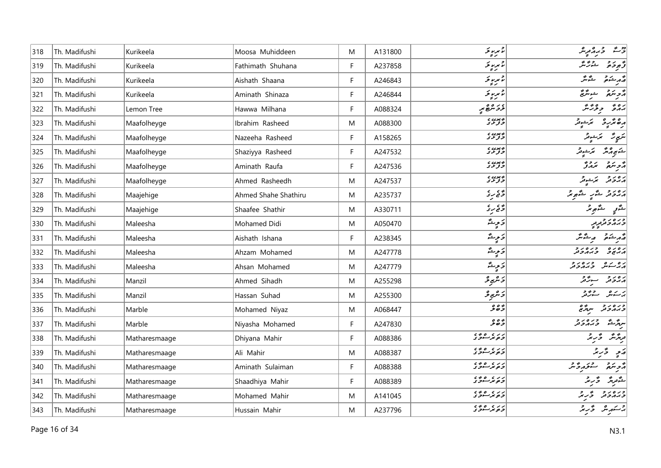| 318 | Th. Madifushi | Kurikeela     | Moosa Muhiddeen      | M         | A131800 | د مدرسته<br>مسر                                      | د بر رو پر پر<br>و مشهر ش                  |
|-----|---------------|---------------|----------------------|-----------|---------|------------------------------------------------------|--------------------------------------------|
| 319 | Th. Madifushi | Kurikeela     | Fathimath Shuhana    | F         | A237858 | ر<br>ئىمىر بىرىدىخە                                  | ىشەرىگە<br>ۇ بوز ۋ                         |
| 320 | Th. Madifushi | Kurikeela     | Aishath Shaana       | F         | A246843 | ر<br>سوسرىيە خە                                      | وكرمشكم مشتر                               |
| 321 | Th. Madifushi | Kurikeela     | Aminath Shinaza      | F         | A246844 | ر<br>ساسر پوسکت                                      | ړګر سرچ<br>ے مگرچّ                         |
| 322 | Th. Madifushi | Lemon Tree    | Hawwa Milhana        | F         | A088324 | ترىز مۇھ بېر                                         | برەپچ<br>ىر ئەشرىتىر                       |
| 323 | Th. Madifushi | Maafolheyge   | Ibrahim Rasheed      | M         | A088300 | ه پون<br><del>و</del> تو بو ب                        | ەرھ ئ <sup>ۆ</sup> ر ۋ<br>تزحيفر           |
| 324 | Th. Madifushi | Maafolheyge   | Nazeeha Rasheed      | F         | A158265 | ه بودن تا<br>ترکو تو ت                               | س <i>کن</i> چرنگ اسکر شیونڈر               |
| 325 | Th. Madifushi | Maafolheyge   | Shaziyya Rasheed     | F         | A247532 | ەيدى ،<br>تركرىر                                     | شومهر كرشونر                               |
| 326 | Th. Madifushi | Maafolheyge   | Aminath Raufa        | F         | A247536 | ږ بوړ ،<br>تر تر تر                                  | أثرجه تنزه<br>ر و ه<br>بود تو              |
| 327 | Th. Madifushi | Maafolheyge   | Ahmed Rasheedh       | M         | A247537 | ه بودن تا<br>تر تو لو ی                              | أرور و مردور                               |
| 328 | Th. Madifushi | Maajehige     | Ahmed Shahe Shathiru | M         | A235737 | ی ء<br>5 فع سر د                                     | رورد ڪپ ڪپر                                |
| 329 | Th. Madifushi | Maajehige     | Shaafee Shathir      | M         | A330711 | ە ئەرى<br>مۇسىرى                                     | مشكوبر<br>ے گھر<br>ت                       |
| 330 | Th. Madifushi | Maleesha      | Mohamed Didi         | M         | A050470 | وَموِحَہُ                                            |                                            |
| 331 | Th. Madifushi | Maleesha      | Aishath Ishana       | F         | A238345 | وَموِحَہُ                                            | مەرىشىمى مەشكىگر                           |
| 332 | Th. Madifushi | Maleesha      | Ahzam Mohamed        | ${\sf M}$ | A247778 | وَموِسَّہُ                                           | و ره ر و<br>تر پر ژنر<br>رەپرە             |
| 333 | Th. Madifushi | Maleesha      | Ahsan Mohamed        | ${\sf M}$ | A247779 | 5 موسقہ                                              | رەبە<br>و رە ر د<br>تر پروتر               |
| 334 | Th. Madifushi | Manzil        | Ahmed Sihadh         | M         | A255298 | ئەشىر ۋ                                              | رەر دىر                                    |
| 335 | Th. Madifushi | Manzil        | Hassan Suhad         | M         | A255300 | ئەشرىر بۇ                                            | ير کے مگر کے مقرر پر                       |
| 336 | Th. Madifushi | Marble        | Mohamed Niyaz        | M         | A068447 | وەء                                                  | و رە ر و<br>ت <i>ر بە</i> تەتر<br>سرگري    |
| 337 | Th. Madifushi | Marble        | Niyasha Mohamed      | F         | A247830 | ≉ه ه<br>ر <i>ه</i> پو                                | و ره ر و<br><i>و پر</i> و تر<br>سرمرَّتَہُ |
| 338 | Th. Madifushi | Matharesmaage | Dhiyana Mahir        | F         | A088386 | ر ر به ۵ په و<br><del>ر</del> د پر سور               | ەردىش ئەرىر<br>س                           |
| 339 | Th. Madifushi | Matharesmaage | Ali Mahir            | M         | A088387 | ر ر ر ه و د ،<br><del>و ه</del> پر سوی               | أەي ۋرېژ                                   |
| 340 | Th. Madifushi | Matharesmaage | Aminath Sulaiman     | F         | A088388 |                                                      | أأترسم<br>سەخەر ئەس                        |
| 341 | Th. Madifushi | Matharesmaage | Shaadhiya Mahir      | F         | A088389 | ر ر په ره و په<br><del>ر</del> ه پر سور <sub>ک</sub> | ڪُوبرگر<br>سگوبرگر<br>ۇرىر                 |
| 342 | Th. Madifushi | Matharesmaage | Mohamed Mahir        | M         | A141045 | ر ر په ره و په<br><del>ر</del> ه پر سور <sub>ک</sub> | و رە ر د<br><i>د بر</i> گرىر<br>ۇر بۇ      |
| 343 | Th. Madifushi | Matharesmaage | Hussain Mahir        | ${\sf M}$ | A237796 | ر ر پ <sub>ر ۱</sub> ۵ به پ                          | برسكر بمراكز والمراكز                      |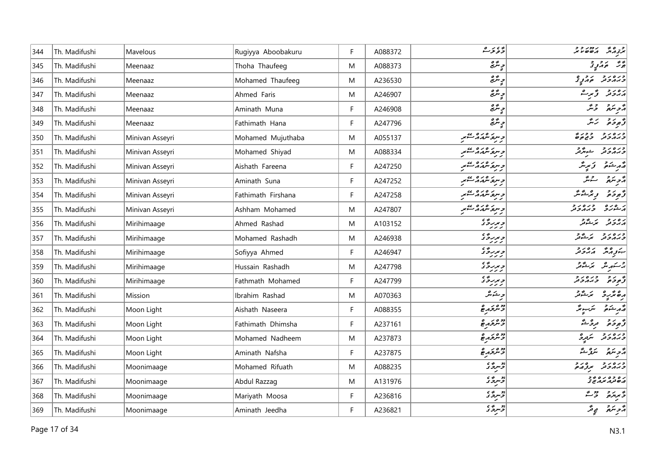| 344 | Th. Madifushi | Mavelous        | Rugiyya Aboobakuru | F. | A088372 | ۇ ئەر ھ                                | 77/77/<br>جري ۾ پڻ<br>سرچين پڻ                                                                                                                                                                                                  |
|-----|---------------|-----------------|--------------------|----|---------|----------------------------------------|---------------------------------------------------------------------------------------------------------------------------------------------------------------------------------------------------------------------------------|
| 345 | Th. Madifushi | Meenaaz         | Thoha Thaufeeg     | M  | A088373 | حريثره                                 | $\begin{array}{cc} \mathcal{Z}_2 & \mathcal{Z}_3 & \mathcal{Z}_4 \\ \mathcal{Z}_5 & \mathcal{Z}_6 & \mathcal{Z}_5 \end{array}$                                                                                                  |
| 346 | Th. Madifushi | Meenaaz         | Mohamed Thaufeeg   | M  | A236530 | حريثره                                 |                                                                                                                                                                                                                                 |
| 347 | Th. Madifushi | Meenaaz         | Ahmed Faris        | M  | A246907 | جريثره                                 | رەرد ۇىر                                                                                                                                                                                                                        |
| 348 | Th. Madifushi | Meenaaz         | Aminath Muna       | F  | A246908 | جريثي                                  | أأدم المتحفظ المحاشر                                                                                                                                                                                                            |
| 349 | Th. Madifushi | Meenaaz         | Fathimath Hana     | F  | A247796 | جريثي                                  | قەددە ئىگە                                                                                                                                                                                                                      |
| 350 | Th. Madifushi | Minivan Asseyri | Mohamed Mujuthaba  | M  | A055137 | حەس ھەر ھەتتى<br>مەس ھەم كەنتىسى       | 1733 37073<br>כממכת כבסים                                                                                                                                                                                                       |
| 351 | Th. Madifushi | Minivan Asseyri | Mohamed Shiyad     | M  | A088334 | وسره مهدم سنجعر                        | ورەر د پەر<br><i>دىد</i> ەر تەشەر                                                                                                                                                                                               |
| 352 | Th. Madifushi | Minivan Asseyri | Aishath Fareena    | F  | A247250 | احر سری شروع ہے۔<br>مربع شمار از سومبر | قەرشىق ئېرىتر                                                                                                                                                                                                                   |
| 353 | Th. Madifushi | Minivan Asseyri | Aminath Suna       | F  | A247252 | حەسى ھەرەر مەر<br>مەسىر ھەرەر مىسىر    | ړې کړه د سمنگر                                                                                                                                                                                                                  |
| 354 | Th. Madifushi | Minivan Asseyri | Fathimath Firshana | F  | A247258 | جەسھەسمەم كەنتىمبە                     | تزوده وبرخشر                                                                                                                                                                                                                    |
| 355 | Th. Madifushi | Minivan Asseyri | Ashham Mohamed     | M  | A247807 | اح سره مره منه<br>مرسم سمد د کشمیر     | ر وره وره رو<br>پرشورو وربروتر                                                                                                                                                                                                  |
| 356 | Th. Madifushi | Mirihimaage     | Ahmed Rashad       | M  | A103152 | و بور و ء<br>ر د د د                   | رەر دىر ئەر<br>مەروىي ئىرىشكى                                                                                                                                                                                                   |
| 357 | Th. Madifushi | Mirihimaage     | Mohamed Rashadh    | M  | A246938 | د برر دمی<br>بر برگ                    | ورەر دىرىدى<br><i>دىد</i> ەردىر بۇشۇنر                                                                                                                                                                                          |
| 358 | Th. Madifushi | Mirihimaage     | Sofiyya Ahmed      | F  | A246947 | د برر د و<br>ر بر ر                    | پروه پرورو                                                                                                                                                                                                                      |
| 359 | Th. Madifushi | Mirihimaage     | Hussain Rashadh    | M  | A247798 | د بررد د .<br>ر ر ر                    | رحم مسكر المتر المتكرر المركز                                                                                                                                                                                                   |
| 360 | Th. Madifushi | Mirihimaage     | Fathmath Mohamed   | F  | A247799 | ا و بور و ته<br>ار بور و د             | و دو دره در                                                                                                                                                                                                                     |
| 361 | Th. Madifushi | Mission         | Ibrahim Rashad     | M  | A070363 | ى مىشەنىگە                             |                                                                                                                                                                                                                                 |
| 362 | Th. Madifushi | Moon Light      | Aishath Naseera    | F  | A088355 | ومشرقهم                                | و استاده الرئيسية المركز بير المركز بيركز المركز بين المركز المركز المركز المركز المركز المركز المركز المركز ا<br>مركز المركز المركز المركز المركز المركز المركز المركز المركز المركز المركز المركز المركز المركز المركز المركز |
| 363 | Th. Madifushi | Moon Light      | Fathimath Dhimsha  | F  | A237161 | وجمع ترم مع                            | ۇپوڭۇ برۇش                                                                                                                                                                                                                      |
| 364 | Th. Madifushi | Moon Light      | Mohamed Nadheem    | M  | A237873 | ومثر بخرم فع                           | ورەرو كەرە                                                                                                                                                                                                                      |
| 365 | Th. Madifushi | Moon Light      | Aminath Nafsha     | F  | A237875 | وده ره<br>د سر <sub>خرار</sub> ه       | أروسكم سكرشة                                                                                                                                                                                                                    |
| 366 | Th. Madifushi | Moonimaage      | Mohamed Rifuath    | M  | A088235 | اد سرچ ی<br>حسرچ <sub>ک</sub>          | כנסנכ תפנבים<br>כממכת תנמים                                                                                                                                                                                                     |
| 367 | Th. Madifushi | Moonimaage      | Abdul Razzag       | M  | A131976 | دو<br>ترسرپری                          | ر ٥ ر ٥ ر ٥ ر ٥ ر<br>پر ۵ تو پر <i>بر پر</i> تر تر                                                                                                                                                                              |
| 368 | Th. Madifushi | Moonimaage      | Mariyath Moosa     | F. | A236816 | دو په په<br>د سرچ د                    | ومجرمره                                                                                                                                                                                                                         |
| 369 | Th. Madifushi | Moonimaage      | Aminath Jeedha     | F. | A236821 | دو په په<br>د سرچنې                    | ړٌ د سَه په تر                                                                                                                                                                                                                  |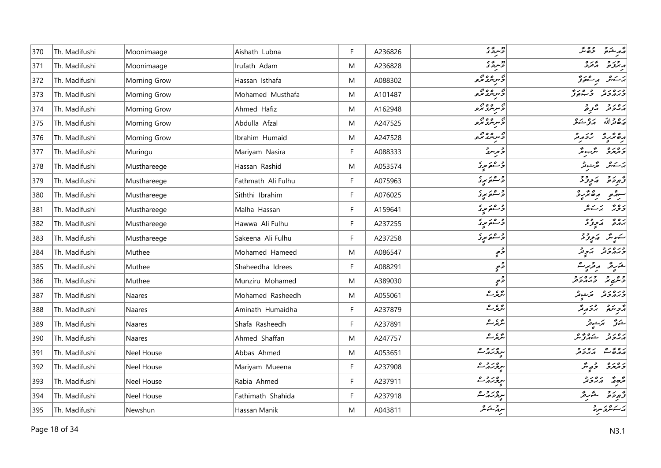| 370 | Th. Madifushi | Moonimaage          | Aishath Lubna      | F  | A236826 | اد سرچ ی<br>  تر سرچ <sub>ک</sub>   | وه پژ<br>اړم کر شوه.<br>مر                                |
|-----|---------------|---------------------|--------------------|----|---------|-------------------------------------|-----------------------------------------------------------|
| 371 | Th. Madifushi | Moonimaage          | Irufath Adam       | M  | A236828 | دو په په<br>ترسرچ <sub>ر</sub> ۍ    | ار برز د<br>پھر ہ<br>مرمر تر                              |
| 372 | Th. Madifushi | <b>Morning Grow</b> | Hassan Isthafa     | M  | A088302 | م موس <u>وم</u><br>د سرسر مر        | برسك مدعوق                                                |
| 373 | Th. Madifushi | <b>Morning Grow</b> | Mohamed Musthafa   | M  | A101487 | <sup>م</sup> سر مروم تر و           | ح بەي ئەسمى<br>سىرتىمبوقە<br>و ره ر و<br><i>و بر</i> د تر |
| 374 | Th. Madifushi | <b>Morning Grow</b> | Ahmed Hafiz        | M  | A162948 | م<br>د سرسر محمد محمد محمد محمد الس | رەر ئەرنى                                                 |
| 375 | Th. Madifushi | <b>Morning Grow</b> | Abdulla Afzal      | M  | A247525 | ە بىر شەھ تۈر                       | ىرى ئىكى<br>ەھىراللە                                      |
| 376 | Th. Madifushi | <b>Morning Grow</b> | Ibrahim Humaid     | M  | A247528 | م سرچونج عر <sub>و</sub>            | ر د کر مر<br>ەرھ ئ <sup>ۆ</sup> ر ۋ                       |
| 377 | Th. Madifushi | Muringu             | Mariyam Nasira     | F  | A088333 | و<br>تر بر سر د                     | ر ه بر ه<br>د بربرگ<br>ىئرىبەتر                           |
| 378 | Th. Madifushi | Musthareege         | Hassan Rashid      | M  | A053574 | و صر ر ،<br>تر سونو برد             | برسەيىتە<br>مگرشہ تر                                      |
| 379 | Th. Madifushi | Musthareege         | Fathmath Ali Fulhu | F  | A075963 | د مشخص مر <sub>ئ</sub> می<br>م      | وتبوخاته المتحفي وحمي                                     |
| 380 | Th. Madifushi | Musthareege         | Siththi Ibrahim    | F. | A076025 | د هم پرې<br>د سوړس                  | ە ھەترىرى<br>مەھەترىپە<br>سوژحو                           |
| 381 | Th. Madifushi | Musthareege         | Malha Hassan       | F  | A159641 | د همه بر <sub>ی</sub>               | ر ه و<br>بزسەيىتىر                                        |
| 382 | Th. Madifushi | Musthareege         | Hawwa Ali Fulhu    | F  | A237255 | د صر د پرې<br>مرگ موس               | رە بەردى                                                  |
| 383 | Th. Madifushi | Musthareege         | Sakeena Ali Fulhu  | F  | A237258 | د صمر مرد<br>ح                      | سىرىد ھەرۋق                                               |
| 384 | Th. Madifushi | Muthee              | Mohamed Hameed     | M  | A086547 | وتمج                                | ورەرو پەيد                                                |
| 385 | Th. Madifushi | Muthee              | Shaheedha Idrees   | F  | A088291 | و<br>حرمج                           | شَدِينَدْ الْمِرْتَمْ بِسَدْ                              |
| 386 | Th. Madifushi | Muthee              | Munziru Mohamed    | M  | A389030 | $\overline{r^2}$                    |                                                           |
| 387 | Th. Madifushi | <b>Naares</b>       | Mohamed Rasheedh   | M  | A055061 | پرې ه<br>مربر شو                    | ورەرو كەنبەتر                                             |
| 388 | Th. Madifushi | <b>Naares</b>       | Aminath Humaidha   | F  | A237879 | متزبر حر                            | برژ پر تر<br>أرمز تر                                      |
| 389 | Th. Madifushi | Naares              | Shafa Rasheedh     | F  | A237891 | متزبر عه                            | شكوكل المخرجوهر                                           |
| 390 | Th. Madifushi | <b>Naares</b>       | Ahmed Shaffan      | M  | A247757 | پري ھ<br>متر <i>پڻ</i>              | رەرد بەەم ھ<br>مەرىر شەمۇش                                |
| 391 | Th. Madifushi | Neel House          | Abbas Ahmed        | M  | A053651 | سربۇ ئەر <sup>م</sup> ك             | رەپ رەرد                                                  |
| 392 | Th. Madifushi | Neel House          | Mariyam Mueena     | F  | A237908 | ابېږېزه په                          | دەرە دېرىگ                                                |
| 393 | Th. Madifushi | Neel House          | Rabia Ahmed        | F  | A237911 | ا <sub>مبرم</sub> زر متعامل         | پڑھ<br>پڑھ<br>پروژو                                       |
| 394 | Th. Madifushi | <b>Neel House</b>   | Fathimath Shahida  | F. | A237918 | سرور بر م                           | ۇ بوز م<br>ستذرقر                                         |
| 395 | Th. Madifushi | Newshun             | Hassan Manik       | M  | A043811 | اسرچمندگر                           | ر<br>بر سەنلە <b>چە</b> سرىد                              |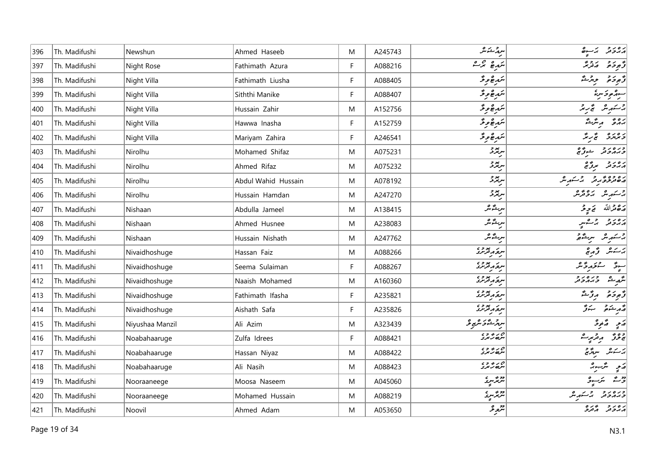| 396 | Th. Madifushi | Newshun           | Ahmed Haseeb        | M  | A245743 | اسرچمندگر                       | پروتر<br>برَب                                                                                                                                                                                                                          |
|-----|---------------|-------------------|---------------------|----|---------|---------------------------------|----------------------------------------------------------------------------------------------------------------------------------------------------------------------------------------------------------------------------------------|
| 397 | Th. Madifushi | <b>Night Rose</b> | Fathimath Azura     | F. | A088216 | لترم هم محرث                    | و به در در به                                                                                                                                                                                                                          |
| 398 | Th. Madifushi | Night Villa       | Fathimath Liusha    | F. | A088405 | ىئىرقجو ئۇ                      | قەردە بەرشە                                                                                                                                                                                                                            |
| 399 | Th. Madifushi | Night Villa       | Siththi Manike      | F. | A088407 | ىئەرغۇر ئۇ                      | سەۋ <sub>ى</sub> ئەسرىئا                                                                                                                                                                                                               |
| 400 | Th. Madifushi | Night Villa       | Hussain Zahir       | M  | A152756 | ىئەرغۇر ئۇ                      | بر سكر مثل المحر بر                                                                                                                                                                                                                    |
| 401 | Th. Madifushi | Night Villa       | Hawwa Inasha        | F  | A152759 | ىئەرغۇر ئۇ                      | رە ئەرگىگە                                                                                                                                                                                                                             |
| 402 | Th. Madifushi | Night Villa       | Mariyam Zahira      | F  | A246541 | ىئەرغۇر ئۇ                      | و وره ځرنگه                                                                                                                                                                                                                            |
| 403 | Th. Madifushi | Nirolhu           | Mohamed Shifaz      | M  | A075231 | سرچري                           | شەۋىج<br>ور ەر د<br><i>د بە</i> ر تەر                                                                                                                                                                                                  |
| 404 | Th. Madifushi | Nirolhu           | Ahmed Rifaz         | M  | A075232 | سرپرېژ                          | أرور ويحقى بالمحمدة المحمدة المحمدة المحمدة المحمدة المحمدة المحمدة المحمدة المحمدة المحمدة المحمدة ا                                                                                                                                  |
| 405 | Th. Madifushi | Nirolhu           | Abdul Wahid Hussain | M  | A078192 | سرپر و                          | גם בכל בר הבית יל                                                                                                                                                                                                                      |
| 406 | Th. Madifushi | Nirolhu           | Hussain Hamdan      | M  | A247270 | سرچري                           | ج ڪرمر هين جي جي جي سر                                                                                                                                                                                                                 |
| 407 | Th. Madifushi | Nishaan           | Abdulla Jameel      | M  | A138415 | سرىشەشر                         | بره والله تح و قر                                                                                                                                                                                                                      |
| 408 | Th. Madifushi | Nishaan           | Ahmed Husnee        | M  | A238083 | اسريشير                         | رەرد جىمبر                                                                                                                                                                                                                             |
| 409 | Th. Madifushi | Nishaan           | Hussain Nishath     | M  | A247762 | ا <sub>سرىش</sub> ى<br>يە       | يركسكر مكر سريكتهمج                                                                                                                                                                                                                    |
| 410 | Th. Madifushi | Nivaidhoshuge     | Hassan Faiz         | M  | A088266 | سرچە جە جە<br>سرچە سرچىرى       | برَ سَدَسٌ وَ مِعْ                                                                                                                                                                                                                     |
| 411 | Th. Madifushi | Nivaidhoshuge     | Seema Sulaiman      | F  | A088267 | سرچە جەدى<br>سرچە سرچە          | سوڭ سىزىرگىر                                                                                                                                                                                                                           |
| 412 | Th. Madifushi | Nivaidhoshuge     | Naaish Mohamed      | M  | A160360 | سرکھ وقریری<br>سرکھ وقریری      | وره رو<br>د برگرونر<br>سمَّم <i>رِ</i> ۖ                                                                                                                                                                                               |
| 413 | Th. Madifushi | Nivaidhoshuge     | Fathimath Ifasha    | F  | A235821 | سرکھ وقریری<br>سرکھ وقریری      | ۇ <sub>ب</sub> ودۇ بەرگ                                                                                                                                                                                                                |
| 414 | Th. Madifushi | Nivaidhoshuge     | Aishath Safa        | F  | A235826 | سرچە جە د ي<br>سرچە پەنگەنزى    | ۇرغىق بۇ                                                                                                                                                                                                                               |
| 415 | Th. Madifushi | Niyushaa Manzil   | Ali Azim            | M  | A323439 | ا <sub>س</sub> ر شونه شرح عر    | $rac{1}{566}$ $rac{1}{56}$                                                                                                                                                                                                             |
| 416 | Th. Madifushi | Noabahaaruge      | Zulfa Idrees        | F  | A088421 | ہ ریے و ۽<br>سرھ شريحه          | وه د مرکز برد.<br>محروف بردر بر                                                                                                                                                                                                        |
| 417 | Th. Madifushi | Noabahaaruge      | Hassan Niyaz        | M  | A088422 | ہ ر پر و ،<br>سر <i>ھ ر</i> بری | ئەسەھ سوچرى                                                                                                                                                                                                                            |
| 418 | Th. Madifushi | Noabahaaruge      | Ali Nasih           | M  | A088423 | ہ رے و ۽<br>سر <i>ھ ر</i> حمدي  | أرجمج التكريب                                                                                                                                                                                                                          |
| 419 | Th. Madifushi | Nooraaneege       | Moosa Naseem        | M  | A045060 | دور<br>سرپر سرپر                | در میں مور <u>د</u> کا مقامت کرنے کے مقامت کرنے کے لیے جاتی کے مقدام کرنے کے لیے ان کے مقدام کے مقدام کے مقدام کے مقد<br>مقدام کرنے کے مقدام کے مقدام کرنے کے مقدام کرنے کے مقدام کرنے کے مقدام کرنے کے مقدام کرنے کے مقدام کرنے کے مق |
| 420 | Th. Madifushi | Nooraaneege       | Mohamed Hussain     | M  | A088219 | دو پر<br>سربر سرپر              | و ر ه ر د<br>تر پر تر تر                                                                                                                                                                                                               |
| 421 | Th. Madifushi | Noovil            | Ahmed Adam          | M  | A053650 | يتر <sub>عر</sub> ثر            | ره رو په ده<br>پرکار پرترو                                                                                                                                                                                                             |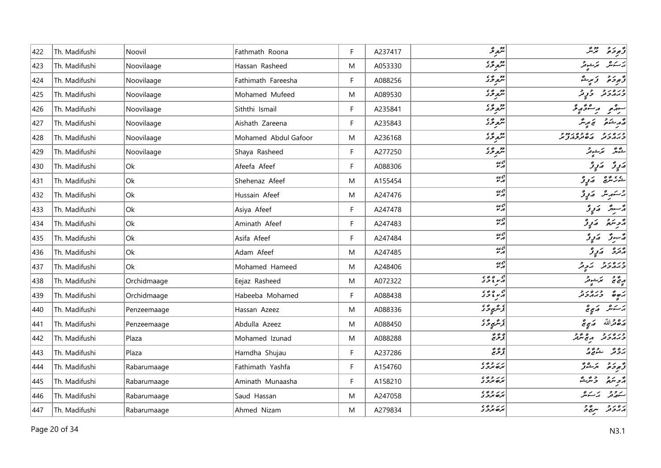| 422 | Th. Madifushi | Noovil      | Fathmath Roona       | F         | A237417 | لتروغه                                                            | حزبتر<br>و مرد د<br>افغان مورد م                                                                                    |
|-----|---------------|-------------|----------------------|-----------|---------|-------------------------------------------------------------------|---------------------------------------------------------------------------------------------------------------------|
| 423 | Th. Madifushi | Noovilaage  | Hassan Rasheed       | M         | A053330 | دد په په<br>سر <sub>گو</sub> مرد                                  | ر<br>برکسکر برشونر                                                                                                  |
| 424 | Th. Madifushi | Noovilaage  | Fathimath Fareesha   | F         | A088256 | دد پر پر<br>سر <sub>گر</sub> پر                                   | وَجِعِدَةٍ وَبِيسَةٌ                                                                                                |
| 425 | Th. Madifushi | Noovilaage  | Mohamed Mufeed       | M         | A089530 | دو پر پر<br>سر <sub>کلو</sub> پر پر                               | وره رو و و<br><i>د پرونډ</i> وړتر                                                                                   |
| 426 | Th. Madifushi | Noovilaage  | Siththi Ismail       | F         | A235841 | دد<br>سرع څرنه                                                    | برشۇرچ<br>سورهو                                                                                                     |
| 427 | Th. Madifushi | Noovilaage  | Aishath Zareena      | F         | A235843 | دد پر پر<br>سرعر بحری                                             | ۇرىشۇ تۆپرىگە                                                                                                       |
| 428 | Th. Madifushi | Noovilaage  | Mohamed Abdul Gafoor | M         | A236168 | دد<br>سرع څرنه                                                    | כנסנכ נסכסנככ<br>כג <mark>תכ</mark> נג מש <mark>נקלנ</mark> ד                                                       |
| 429 | Th. Madifushi | Noovilaage  | Shaya Rasheed        | F         | A277250 | دد<br>متر <sub>عر</sub> مونه                                      | لتنكر المرتشوقر                                                                                                     |
| 430 | Th. Madifushi | lok.        | Afeefa Afeef         | F         | A088306 | حيمته                                                             | أمار والملحق وأراد                                                                                                  |
| 431 | Th. Madifushi | lok.        | Shehenaz Afeef       | M         | A155454 | $\widetilde{\widetilde{\mathcal{L}}_{\mathcal{A}}^{\mathcal{C}}}$ | ے ی مرض<br>مشرکہ مربع<br>ەرىپى                                                                                      |
| 432 | Th. Madifushi | Ok          | Hussain Afeef        | M         | A247476 | $\mathcal{L}$                                                     | بر سەر شەر ئەر ۋ                                                                                                    |
| 433 | Th. Madifushi | Ok          | Asiya Afeef          | F         | A247478 | ە<br>مەن                                                          | أأرسته أأأتمو وكالمحمو                                                                                              |
| 434 | Th. Madifushi | Ok.         | Aminath Afeef        | F         | A247483 | <br> پرس                                                          | أأدينهم أأروق                                                                                                       |
| 435 | Th. Madifushi | Ok.         | Asifa Afeef          | F         | A247484 | $\overset{cc}{\nu}$                                               | ماليبوق الكابي و                                                                                                    |
| 436 | Th. Madifushi | Ok          | Adam Afeef           | ${\sf M}$ | A247485 | ص<br>مرسم                                                         | وره کړې<br>م <sup>ور</sup> د کړې                                                                                    |
| 437 | Th. Madifushi | lok.        | Mohamed Hameed       | ${\sf M}$ | A248406 | $\overline{\mathcal{L}}$                                          | <i>כנסק</i> פי הבית                                                                                                 |
| 438 | Th. Madifushi | Orchidmaage | Eejaz Rasheed        | M         | A072322 | ار<br> دسم وی                                                     | درج بح<br>مرقع موسودگر                                                                                              |
| 439 | Th. Madifushi | Orchidmaage | Habeeba Mohamed      | F         | A088438 | 0 موء ج<br> پرسو بو بر                                            | $\overset{\ast}{\mathscr{Q}}\overset{\ast}{\mathscr{Q}}\overset{\ast}{\mathscr{A}}$<br>و ره ر د<br><i>د ب</i> رگرفر |
| 440 | Th. Madifushi | Penzeemaage | Hassan Azeez         | M         | A088336 | ئۇنىژىمى ئەڭ ئى                                                   | پرسترین کار کارچ می                                                                                                 |
| 441 | Th. Madifushi | Penzeemaage | Abdulla Azeez        | ${\sf M}$ | A088450 | ئۇنىژىمۇ ئەڭ ك                                                    | برە داللە كەيپى                                                                                                     |
| 442 | Th. Madifushi | Plaza       | Mohamed Izunad       | M         | A088288 | وثريج                                                             | ورەرو مەھ                                                                                                           |
| 443 | Th. Madifushi | Plaza       | Hamdha Shujau        | F         | A237286 | وثريج                                                             | رەپ <sub>ە</sub> ھەم<br>بروتر سىمى                                                                                  |
| 444 | Th. Madifushi | Rabarumaage | Fathimath Yashfa     | F         | A154760 | ر ر د د ،<br>بره برد د                                            | ژ <sub>بو څ</sub> و پرېشو                                                                                           |
| 445 | Th. Madifushi | Rabarumaage | Aminath Munaasha     | F         | A158210 | ر ر د » ،<br>بره برو د                                            | أثرم تكرم والثراء                                                                                                   |
| 446 | Th. Madifushi | Rabarumaage | Saud Hassan          | M         | A247058 | ر ر د » ،<br>بره برو د                                            | ر د د<br>ستور تعر<br>برَسەمىر                                                                                       |
| 447 | Th. Madifushi | Rabarumaage | Ahmed Nizam          | ${\sf M}$ | A279834 | ر ر د » ،<br>بره برو د                                            | 1910 - 1919<br>הגבת יישיב                                                                                           |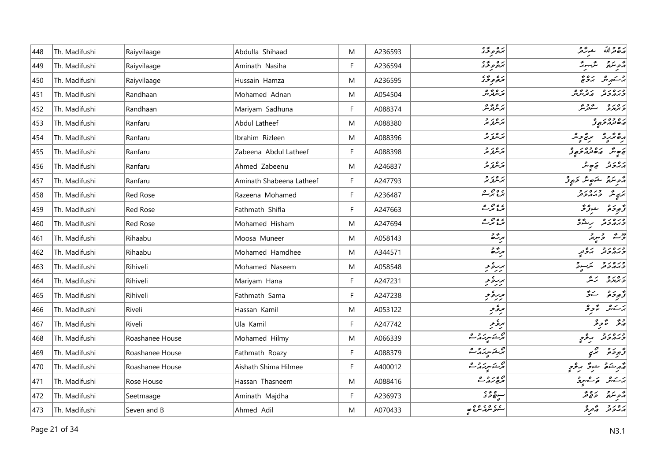| 448 | Th. Madifushi | Raiyvilaage     | Abdulla Shihaad          | M         | A236593 | ره<br>بر <sub>گ</sub> ورځۍ               | بره و الله شو <i>رٌ قر</i><br>مصر الله |
|-----|---------------|-----------------|--------------------------|-----------|---------|------------------------------------------|----------------------------------------|
| 449 | Th. Madifushi | Raiyvilaage     | Aminath Nasiha           | F         | A236594 | ر ه<br>برگوموڅر                          | أأدوسكم الكريدة                        |
| 450 | Th. Madifushi | Raiyvilaage     | Hussain Hamza            | M         | A236595 | ره<br>بر <sub>گ</sub> ورځۍ               | جر شهر شرح برخونج                      |
| 451 | Th. Madifushi | Randhaan        | Mohamed Adnan            | M         | A054504 | برەپرە                                   | ورەرو رومو<br>جەمەدىر مەنزىتر          |
| 452 | Th. Madifushi | Randhaan        | Mariyam Sadhuna          | F         | A088374 | برەپرە                                   | رەرە گەدىر                             |
| 453 | Th. Madifushi | Ranfaru         | Abdul Latheef            | ${\sf M}$ | A088380 | برعوتر                                   | ره وه د په و                           |
| 454 | Th. Madifushi | Ranfaru         | Ibrahim Rizleen          | M         | A088396 | ىر ھەر جە                                | رەتزىر ئىبر ئول                        |
| 455 | Th. Madifushi | Ranfaru         | Zabeena Abdul Latheef    | F         | A088398 | ىر ھ <sub>ە</sub> ر جە                   | كەنگە مەھەر مۇ                         |
| 456 | Th. Madifushi | Ranfaru         | Ahmed Zabeenu            | M         | A246837 | ىر ھەر ج                                 |                                        |
| 457 | Th. Madifushi | Ranfaru         | Aminath Shabeena Latheef | F         | A247793 | ىر مەر جە                                | أأدمكم المنوسر كروالي                  |
| 458 | Th. Madifushi | Red Rose        | Razeena Mohamed          | F         | A236487 | ، ە ە مەر ھ                              | <br>  پرېپ سگر ح بره تر تر             |
| 459 | Th. Madifushi | Red Rose        | Fathmath Shifla          | F         | A247663 | <sup>ى ە ە</sup> م بە                    | أَوَّ مِجْرَةٍ مَسْرُوْتُرُّ           |
| 460 | Th. Madifushi | Red Rose        | Mohamed Hisham           | M         | A247694 | بره جرحه                                 | ورەرو رېمو                             |
| 461 | Th. Madifushi | Rihaabu         | Moosa Muneer             | M         | A058143 | بررٌة                                    | و مشر میں مقرر میں تھا۔<br>منابع       |
| 462 | Th. Madifushi | Rihaabu         | Mohamed Hamdhee          | M         | A344571 | پر ژه<br>بورگ                            | ورەر دەر                               |
| 463 | Th. Madifushi | Rihiveli        | Mohamed Naseem           | M         | A058548 | ىرر ئە<br>ئەرگۈ                          | ورەرو كەسوۋ                            |
| 464 | Th. Madifushi | Rihiveli        | Mariyam Hana             | F         | A247231 | بورځ و<br>مرک                            | و ده ده کنگ                            |
| 465 | Th. Madifushi | Rihiveli        | Fathmath Sama            | F         | A247238 | ىررى<br>ئرىر ئىر                         | ۇ <sub>ج</sub> ودۇ سۇ                  |
| 466 | Th. Madifushi | Riveli          | Hassan Kamil             | M         | A053122 | برۂعر                                    | برىكى ئ <sub>ەر</sub> و                |
| 467 | Th. Madifushi | Riveli          | Ula Kamil                | F         | A247742 | برۂعر                                    | ړی تروی                                |
| 468 | Th. Madifushi | Roashanee House | Mohamed Hilmy            | M         | A066339 | ىرىغە <sub>سرى</sub> زەر 2<br>*          | ورەرو بەقو                             |
| 469 | Th. Madifushi | Roashanee House | Fathmath Roazy           | F         | A088379 | ە ئەسىرىرى ئەت<br>ئى                     | و و ده مربح ک                          |
| 470 | Th. Madifushi | Roashanee House | Aishath Shima Hilmee     | F         | A400012 | ج <sub>ى</sub> شكە مەرىكەر مىگە<br>مەنبە | ۇرىشق ئىرگە برقر                       |
| 471 | Th. Madifushi | Rose House      | Hassan Thasneem          | M         | A088416 | ە ەر دېر<br>ئىرى <i>ر</i> ىر ب           | بركسكر كوك مرد                         |
| 472 | Th. Madifushi | Seetmaage       | Aminath Majdha           | F         | A236973 | ر ه و و د<br>په هو د                     | أزويترة المرده والمحمد                 |
| 473 | Th. Madifushi | Seven and B     | Ahmed Adil               | M         | A070433 |                                          | برەر د ئېرنى                           |
|     |               |                 |                          |           |         |                                          |                                        |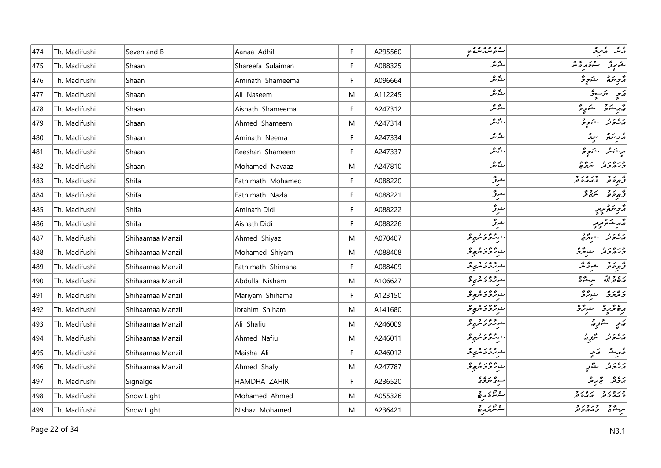| 474 | Th. Madifushi | Seven and B      | Aanaa Adhil       | F         | A295560 |                               | و محمد محمد المحمد المحمد المحمد المحمد المحمد المحمد المحمد المحمد المحمد المحمد المحمد المحمد المحمد المحمد<br>المحمد المحمد المحمد المحمد المحمد المحمد المحمد المحمد المحمد المحمد المحمد المحمد المحمد المحمد المحمد المحم<br> |
|-----|---------------|------------------|-------------------|-----------|---------|-------------------------------|-------------------------------------------------------------------------------------------------------------------------------------------------------------------------------------------------------------------------------------|
| 475 | Th. Madifushi | Shaan            | Shareefa Sulaiman | F         | A088325 | ئەمىر<br>مەس                  | شەمبەرگە<br>ئە<br>ر<br>سىخەر <i>ۋ</i> ىئر                                                                                                                                                                                           |
| 476 | Th. Madifushi | Shaan            | Aminath Shameema  | F         | A096664 | شەھر                          | أأرسني<br>ے کا <sub>تو</sub> گر                                                                                                                                                                                                     |
| 477 | Th. Madifushi | Shaan            | Ali Naseem        | M         | A112245 | ىشەھر                         | ىئەسەۋ<br>ر<br>موج                                                                                                                                                                                                                  |
| 478 | Th. Madifushi | Shaan            | Aishath Shameema  | F         | A247312 | ىدىگە<br>مەشرىپ               | د<br>دگهر شوه<br>د<br>ستورگر                                                                                                                                                                                                        |
| 479 | Th. Madifushi | Shaan            | Ahmed Shameem     | M         | A247314 | ىشەھر                         | ر ە ر د<br>مەرى تىر<br>شَورِ و                                                                                                                                                                                                      |
| 480 | Th. Madifushi | Shaan            | Aminath Neema     | F         | A247334 | ىشەشر                         | أرمر تركيح<br>سرچَّ                                                                                                                                                                                                                 |
| 481 | Th. Madifushi | Shaan            | Reeshan Shameem   | F         | A247337 | ىشەھر                         | <br>س <sub>ی</sub> مندش<br>ستوود                                                                                                                                                                                                    |
| 482 | Th. Madifushi | Shaan            | Mohamed Navaaz    | M         | A247810 | ىشەشر                         | و ر ه ر و<br>تر پر ژ تر<br>بر بو و<br>سرچ مح                                                                                                                                                                                        |
| 483 | Th. Madifushi | Shifa            | Fathimath Mohamed | F         | A088220 | شوترٌ                         | و ر ه ر د<br>تر پر تر تر<br>ومجمج وحمح                                                                                                                                                                                              |
| 484 | Th. Madifushi | Shifa            | Fathimath Nazla   | F         | A088221 | شورٌ                          | و په پر د<br>سرەپچە                                                                                                                                                                                                                 |
| 485 | Th. Madifushi | Shifa            | Aminath Didi      | F         | A088222 | شورٌ                          | ر<br>تر د سره نو بود                                                                                                                                                                                                                |
| 486 | Th. Madifushi | Shifa            | Aishath Didi      | F         | A088226 | شوتر                          | ر<br>په کې شوک تورمن                                                                                                                                                                                                                |
| 487 | Th. Madifushi | Shihaamaa Manzil | Ahmed Shiyaz      | M         | A070407 | ى <i>شەر جۇ جەنگىنى بى</i>    |                                                                                                                                                                                                                                     |
| 488 | Th. Madifushi | Shihaamaa Manzil | Mohamed Shiyam    | M         | A088408 | ى <i>شەرگەنى كە</i> ر         | ورەرو ھەدە<br><i>ھەم</i> ەر ئىسىمەر                                                                                                                                                                                                 |
| 489 | Th. Madifushi | Shihaamaa Manzil | Fathimath Shimana | F         | A088409 | ى <i>شەر جۇ جەنگىنج</i> ۇ     | ژ <sub>ېوخو</sub> مرژنگر                                                                                                                                                                                                            |
| 490 | Th. Madifushi | Shihaamaa Manzil | Abdulla Nisham    | M         | A106627 | ى <i>شەر دەڭ ئىرى</i><br>س    | ەھىراللە<br>سرشگرو                                                                                                                                                                                                                  |
| 491 | Th. Madifushi | Shihaamaa Manzil | Mariyam Shihama   | F         | A123150 | ى <i>شەر جۇ جەنگىنج</i> ى بىر | ر ه بر ه<br>د بربرگ<br>شەرگە گ                                                                                                                                                                                                      |
| 492 | Th. Madifushi | Shihaamaa Manzil | Ibrahim Shiham    | M         | A141680 | ى <i>شەر جۇ جى</i> رى ئى      | شور محر<br>ر<br>ەھ ئ <sup>ۆ</sup> رۈ                                                                                                                                                                                                |
| 493 | Th. Madifushi | Shihaamaa Manzil | Ali Shafiu        | M         | A246009 | ى <i>شەرگەنى كە</i> ر         | ړې شوه.<br>مړ                                                                                                                                                                                                                       |
| 494 | Th. Madifushi | Shihaamaa Manzil | Ahmed Nafiu       | M         | A246011 | <sub>شورگ</sub> ۇز قرىم ئى    | رەبەتە<br>يتنور                                                                                                                                                                                                                     |
| 495 | Th. Madifushi | Shihaamaa Manzil | Maisha Ali        | F         | A246012 | <u>ه در در درم</u> د          | ۇرىقە<br>ەكىپىيە                                                                                                                                                                                                                    |
| 496 | Th. Madifushi | Shihaamaa Manzil | Ahmed Shafy       | M         | A247787 | ىد <i>ە ئەۋە</i> ئىرىمى ئى    | ر 2 در د<br>پر پر <del>د</del> تر<br>ر گھڻي                                                                                                                                                                                         |
| 497 | Th. Madifushi | Signalge         | HAMDHA ZAHIR      | F         | A236520 | ے مرو ۽<br>سور مترجو ي        | رەپ پەرىر                                                                                                                                                                                                                           |
| 498 | Th. Madifushi | Snow Light       | Mohamed Ahmed     | M         | A055326 | جميزموه                       | و ره ر د<br><i>و پر</i> و تر<br>پرور و                                                                                                                                                                                              |
| 499 | Th. Madifushi | Snow Light       | Nishaz Mohamed    | ${\sf M}$ | A236421 | جميزره                        | و ره ر و<br>تر پروتر<br>سرشگر تح                                                                                                                                                                                                    |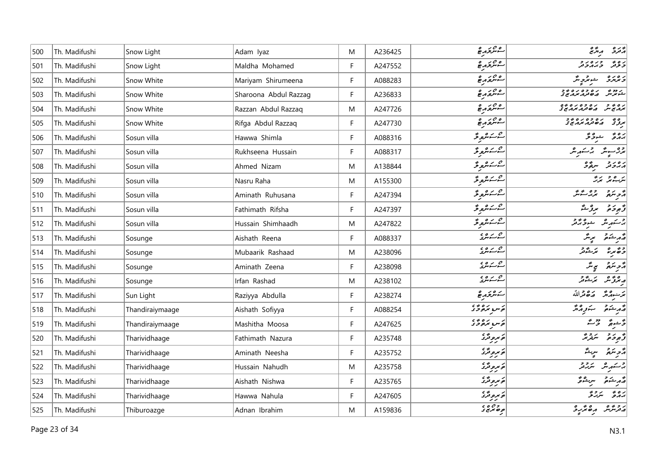| 500 | Th. Madifushi | Snow Light      | Adam Iyaz             | M         | A236425 | <u>ە يې ئەرە</u>                     | ەرىرى<br>  پر ره<br>  پر تر ژ                                                                                                                                                                                                                  |
|-----|---------------|-----------------|-----------------------|-----------|---------|--------------------------------------|------------------------------------------------------------------------------------------------------------------------------------------------------------------------------------------------------------------------------------------------|
| 501 | Th. Madifushi | Snow Light      | Maldha Mohamed        | F         | A247552 | جميحه فح                             | ر ہ بڑ<br>و ره ر و<br><i>و پر د</i> تر                                                                                                                                                                                                         |
| 502 | Th. Madifushi | Snow White      | Mariyam Shirumeena    | F         | A088283 | <u>موسمور</u> ه                      | ر ه ر ه<br><del>ر</del> بربر د<br>ىشونتر <sub>ىچە</sub> بىگر                                                                                                                                                                                   |
| 503 | Th. Madifushi | Snow White      | Sharoona Abdul Razzag | F         | A236833 | <u>ە ئەترىم ۋ</u>                    | ر ٥ ر ٥ ر ٥ ر و <del>۶</del><br>پره تر ۱ <i>۸ پر</i> ۲ ی<br>يە دوپر<br>شەنبۇ بىتر                                                                                                                                                              |
| 504 | Th. Madifushi | Snow White      | Razzan Abdul Razzaq   | M         | A247726 | $rac{\sqrt{2}}{2}$                   | גם כם גם 29<br>גם <i>בנוג יב</i> וג יב<br>ر ە بە چە                                                                                                                                                                                            |
| 505 | Th. Madifushi | Snow White      | Rifga Abdul Razzaq    | F         | A247730 | مشروع                                | ر ٥ <i>٥ ٥ ٥ ٥ ٥ ٠</i><br>پرحا <i>تر ۹ ۶ ۶ م</i><br>ىرۇتچ                                                                                                                                                                                      |
| 506 | Th. Madifushi | Sosun villa     | Hawwa Shimla          | F         | A088316 | 2 سەنگ <sub>ىرى</sub> ئە             | برەپچ<br>شەرە ئۇ<br>—                                                                                                                                                                                                                          |
| 507 | Th. Madifushi | Sosun villa     | Rukhseena Hussain     | F         | A088317 | <u>ش ئەشرو ئۇ</u>                    | وه سومتر حرم می<br>مرز سومتر حرم میرمتر                                                                                                                                                                                                        |
| 508 | Th. Madifushi | Sosun villa     | Ahmed Nizam           | ${\sf M}$ | A138844 | ج ئەنگەرى <i>گە</i>                  | رەرو سۇۋ                                                                                                                                                                                                                                       |
| 509 | Th. Madifushi | Sosun villa     | Nasru Raha            | M         | A155300 | ح سەمبىرىگى ئىسىمبورىگە<br>سى        | ىر بە « بەر».<br>سەيىر بىرگ                                                                                                                                                                                                                    |
| 510 | Th. Madifushi | Sosun villa     | Aminath Ruhusana      | F         | A247394 | <u>ش ئەنگرو ئۇ</u>                   | ىر بۇ سەئىر<br>ړ ځې په د                                                                                                                                                                                                                       |
| 511 | Th. Madifushi | Sosun villa     | Fathimath Rifsha      | F         | A247397 | ج سەن <sub>ى</sub> رى ئە             | ۋە ئەڭ بىرۇش                                                                                                                                                                                                                                   |
| 512 | Th. Madifushi | Sosun villa     | Hussain Shimhaadh     | M         | A247822 | <u>ح س</u> ەمىھ بۇ                   | ج سکه ره شوخ بر تعر                                                                                                                                                                                                                            |
| 513 | Th. Madifushi | Sosunge         | Aishath Reena         | F         | A088337 | <u>م ئەيۋە</u>                       | ۇرمىنى ئېرىتىگ                                                                                                                                                                                                                                 |
| 514 | Th. Madifushi | Sosunge         | Mubaarik Rashaad      | ${\sf M}$ | A238096 | <u>م</u> مەمەرى                      | 3 څونه<br>د ځمي<br>ىر شەتر                                                                                                                                                                                                                     |
| 515 | Th. Madifushi | Sosunge         | Aminath Zeena         | F         | A238098 | تنج يحدثني                           | أزوينهم بإيثر                                                                                                                                                                                                                                  |
| 516 | Th. Madifushi | Sosunge         | Irfan Rashad          | M         | A238102 | <u>م ئەيرو،</u>                      | ەر ئەرگەر ئەرگەر                                                                                                                                                                                                                               |
| 517 | Th. Madifushi | Sun Light       | Raziyya Abdulla       | F         | A238274 | سەمىر ئىر ھ                          | بمنجد مكافرالله                                                                                                                                                                                                                                |
| 518 | Th. Madifushi | Thandiraiymaage | Aishath Sofiyya       | F         | A088254 | <br>  ئۆسرو ئىز ئۆر ئ                | سەو ەر<br>و مرکز در<br>مرکز مشوی                                                                                                                                                                                                               |
| 519 | Th. Madifushi | Thandiraiymaage | Mashitha Moosa        | F         | A247625 | لۇس <sub>ىۋ</sub> ىرە يەتق           | ۇ ئەمۇ<br>دو مشر                                                                                                                                                                                                                               |
| 520 | Th. Madifushi | Tharividhaage   | Fathimath Nazura      | F         | A235748 | اه مره وګړي<br><u>په مر</u>          | ۇپروڭر ئىرتر                                                                                                                                                                                                                                   |
| 521 | Th. Madifushi | Tharividhaage   | Aminath Neesha        | F         | A235752 | ر<br>حومرح تری                       | أأدح سيراني                                                                                                                                                                                                                                    |
| 522 | Th. Madifushi | Tharividhaage   | Hussain Nahudh        | M         | A235758 | <br> ح مره قری                       | يز سكر مثر مترجمته                                                                                                                                                                                                                             |
| 523 | Th. Madifushi | Tharividhaage   | Aishath Nishwa        | F         | A235765 | ه مر <sub>حو</sub> تر د<br>م         | انجم برختمون<br>المستمر المستمر المستمر المستمر المستمر المستمر بالمستمر بالمستمر بالمستمر بالمستمر المستمر المستمر المستمر ا<br>المستمر المستمر المستمر المستمر المستمر المستمر المستمر المستمر المستمر المستمر المستمر المستمر ال<br>سورشوگر |
| 524 | Th. Madifushi | Tharividhaage   | Hawwa Nahula          | F         | A247605 | ئەسرەپىرى<br>م                       | برەپچ<br>سرويځ                                                                                                                                                                                                                                 |
| 525 | Th. Madifushi | Thiburoazge     | Adnan Ibrahim         | ${\sf M}$ | A159836 | وه وه و و و<br>موض <sup>ع پی</sup> د | גר בפ פיב                                                                                                                                                                                                                                      |
|     |               |                 |                       |           |         |                                      |                                                                                                                                                                                                                                                |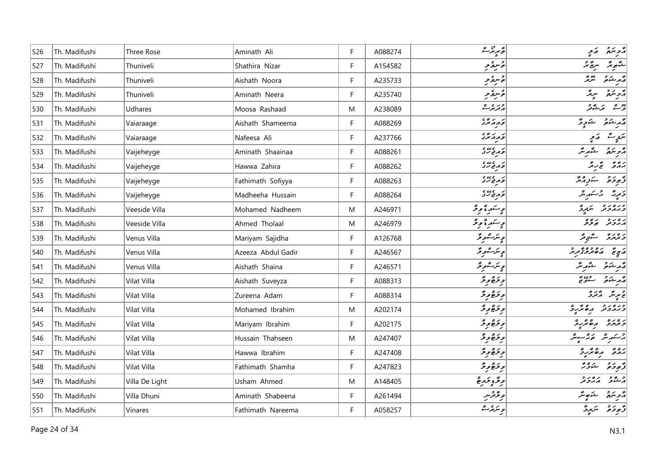| 526 | Th. Madifushi | Three Rose     | Aminath Ali        | F         | A088274 | ە يېرىرگ<br>مۇ يېرىرگ                   | ۇ جە ئىبۇ<br>رځ په                                                                                    |
|-----|---------------|----------------|--------------------|-----------|---------|-----------------------------------------|-------------------------------------------------------------------------------------------------------|
| 527 | Th. Madifushi | Thuniveli      | Shathira Nizar     | F         | A154582 | ۇسرەكر                                  | مشهجر تتر<br>سريح تنر                                                                                 |
| 528 | Th. Madifushi | Thuniveli      | Aishath Noora      | F         | A235733 | فحميره عر                               | يتوجر<br>و مر شو د<br>مر                                                                              |
| 529 | Th. Madifushi | Thuniveli      | Aminath Neera      | F         | A235740 | ە<br>مۇسرەكرىپە                         | أرمرهم<br>سرپر                                                                                        |
| 530 | Th. Madifushi | Udhares        | Moosa Rashaad      | M         | A238089 | د بر پر <u>م</u>                        | دە ئەسىر ئەرەر<br>ئارىسى ئايرىشكەر                                                                    |
| 531 | Th. Madifushi | Vaiaraage      | Aishath Shameema   | F         | A088269 | ر<br>وم <i>ر</i> پر د                   | و مر شور من ديگر ديگر<br>مر                                                                           |
| 532 | Th. Madifushi | Vaiaraage      | Nafeesa Ali        | F         | A237766 | ر<br>قرم تری                            | سَموٍ کے مقبح                                                                                         |
| 533 | Th. Madifushi | Vaijeheyge     | Aminath Shaainaa   | F         | A088261 | ر<br>تو در ج ر د                        | ڪ <sub>مر</sub> سر                                                                                    |
| 534 | Th. Madifushi | Vaijeheyge     | Hawwa Zahira       | F         | A088262 | ر<br>  تو مربع رئ                       | $rac{20}{20}$<br>پچ پر پټر<br>پ                                                                       |
| 535 | Th. Madifushi | Vaijeheyge     | Fathimath Sofiyya  | F         | A088263 | ر<br>تومرہے ر <sub>ی</sub>              | ىبەر ۋە<br>و مر د<br>تر مور مو                                                                        |
| 536 | Th. Madifushi | Vaijeheyge     | Madheeha Hussain   | F         | A088264 | ر<br>تو در ج ر د                        | ئە تور <sup>ى</sup> خ<br>بر سەمەر بىر                                                                 |
| 537 | Th. Madifushi | Veeside Villa  | Mohamed Nadheem    | ${\sf M}$ | A246971 | ءِ سَنهر ۽ ءِ ٿُر                       | و رە ر د<br>تر پر پر تر<br>سربرو                                                                      |
| 538 | Th. Madifushi | Veeside Villa  | Ahmed Tholaal      | M         | A246979 | ويسكره ووقر                             | ەرەر<br>بر پژو<br>جو <del>گر</del> گر                                                                 |
| 539 | Th. Madifushi | Venus Villa    | Mariyam Sajidha    | F         | A126768 | <sub>عو</sub> مئز ش <sub>عرم</sub> مَّز | د بر پر د گھروگر                                                                                      |
| 540 | Th. Madifushi | Venus Villa    | Azeeza Abdul Gadir | F         | A246567 | <br> ءِ پئر سفهو محر                    | أرسم من المعامل المحمد المحمد المحمد من المحمد من المحمد من المحمد المحمد المحمد المحمد المحمد المحمد |
| 541 | Th. Madifushi | Venus Villa    | Aishath Shaina     | F         | A246571 | <sub>ع</sub> ې مرڪبو محر                | قدم المستقدين                                                                                         |
| 542 | Th. Madifushi | Vilat Villa    | Aishath Suveyza    | F         | A088313 | وتزهوقر                                 | و پره<br>سنونځ<br>ا پژ <sub>امر</sub> شده.<br>ا                                                       |
| 543 | Th. Madifushi | Vilat Villa    | Zureena Adam       | F         | A088314 | وتزهوقر                                 | ح پر مگر محمد در <i>ه</i><br>محمد پر مگر مگر مگر محمد بر                                              |
| 544 | Th. Madifushi | Vilat Villa    | Mohamed Ibrahim    | ${\sf M}$ | A202174 | وتزءه وقر                               | و ره ر د<br>تر پر ژنر<br>ەھ ترىرى                                                                     |
| 545 | Th. Madifushi | Vilat Villa    | Mariyam Ibrahim    | F         | A202175 | وتزءه وقر                               | ە ھەترىرى<br>ر ه بر ه<br><del>د</del> بربرگر                                                          |
| 546 | Th. Madifushi | Vilat Villa    | Hussain Thahseen   | M         | A247407 | وتزهوقر                                 | جر س <sub>ک</sub> ر میں<br>م                                                                          |
| 547 | Th. Madifushi | Vilat Villa    | Hawwa Ibrahim      | F         | A247408 | وتزهجوتمر                               | برەپچ<br>ەھ تررۈ                                                                                      |
| 548 | Th. Madifushi | Vilat Villa    | Fathimath Shamha   | F         | A247823 | ومَعْ وِمَّ                             | شەۋرى<br>وحجوحهم                                                                                      |
| 549 | Th. Madifushi | Villa De Light | Usham Ahmed        | M         | A148405 | وقربو خرمره                             | برە ئەتر<br>تر ش <sup>ی</sup> خ تر                                                                    |
| 550 | Th. Madifushi | Villa Dhuni    | Aminath Shabeena   | F         | A261494 | وقرقرسر                                 | أرمز يتزه<br>شەھ بىر                                                                                  |
| 551 | Th. Madifushi | Vinares        | Fathimath Nareema  | F         | A058257 | وبئر پڑے                                | ۇپرۇش ئىر                                                                                             |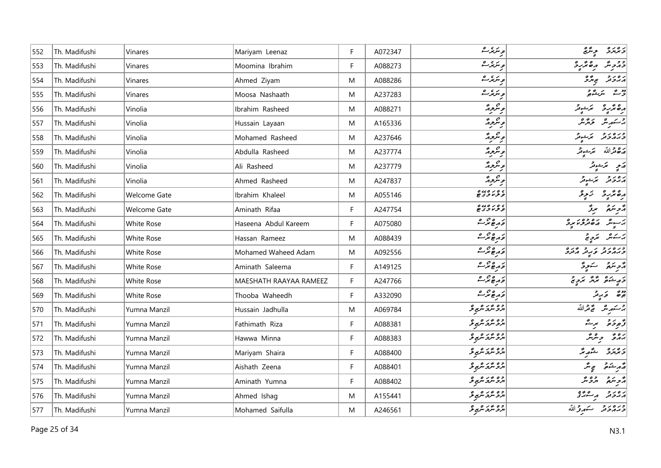| 552 | Th. Madifushi | Vinares             | Mariyam Leenaz         | F         | A072347 | <sub>ع</sub> پئر <i>پڑ</i> ہے                                                                                                                                                                                                                                                                                                                                                                                            | مجينتي<br>  ئەنگەر ئ                            |
|-----|---------------|---------------------|------------------------|-----------|---------|--------------------------------------------------------------------------------------------------------------------------------------------------------------------------------------------------------------------------------------------------------------------------------------------------------------------------------------------------------------------------------------------------------------------------|-------------------------------------------------|
| 553 | Th. Madifushi | Vinares             | Moomina Ibrahim        | F         | A088273 | <sub>ع</sub> سر پر م                                                                                                                                                                                                                                                                                                                                                                                                     | وە ئەربە<br>وړېږمتر                             |
| 554 | Th. Madifushi | Vinares             | Ahmed Ziyam            | M         | A088286 | <sub>حو</sub> سَر پر م                                                                                                                                                                                                                                                                                                                                                                                                   | أرور ويدو                                       |
| 555 | Th. Madifushi | Vinares             | Moosa Nashaath         | M         | A237283 | وبئر پژم                                                                                                                                                                                                                                                                                                                                                                                                                 | وحرث الكريشي                                    |
| 556 | Th. Madifushi | Vinolia             | Ibrahim Rasheed        | M         | A088271 | ويثر ديج                                                                                                                                                                                                                                                                                                                                                                                                                 | ەرھ ئ <sup>ۆ</sup> ر ۋ<br>ىگە شەقر<br>ئ         |
| 557 | Th. Madifushi | Vinolia             | Hussain Layaan         | M         | A165336 | ويثنبه                                                                                                                                                                                                                                                                                                                                                                                                                   |                                                 |
| 558 | Th. Madifushi | Vinolia             | Mohamed Rasheed        | ${\sf M}$ | A237646 | ويثنبه                                                                                                                                                                                                                                                                                                                                                                                                                   | وره رو کرشونر<br>د <i>براد د</i> ر کرشونر       |
| 559 | Th. Madifushi | Vinolia             | Abdulla Rasheed        | M         | A237774 | ويثعرته                                                                                                                                                                                                                                                                                                                                                                                                                  | ره والله مرشوتر<br>صفرالله مرشوتر               |
| 560 | Th. Madifushi | Vinolia             | Ali Rasheed            | M         | A237779 | وتكرد                                                                                                                                                                                                                                                                                                                                                                                                                    | ر<br>ماسي الماسيوند                             |
| 561 | Th. Madifushi | Vinolia             | Ahmed Rasheed          | M         | A247837 | ويثنبه                                                                                                                                                                                                                                                                                                                                                                                                                   | رەر بە<br>م <i>.ئەۋ</i> تر گرىش <sub>ۇ</sub> تر |
| 562 | Th. Madifushi | <b>Welcome Gate</b> | Ibrahim Khaleel        | M         | A055146 | ړ ه ر ه پړه<br>و <del>ز</del> ر د ر ح                                                                                                                                                                                                                                                                                                                                                                                    | ە ھەترىر <sup>ە</sup><br>تزوٍوٌ                 |
| 563 | Th. Madifushi | <b>Welcome Gate</b> | Aminath Rifaa          | F         | A247754 |                                                                                                                                                                                                                                                                                                                                                                                                                          | پ <sup>و</sup> پر سرچ<br>ىجزى                   |
| 564 | Th. Madifushi | White Rose          | Haseena Abdul Kareem   | F         | A075080 | $\begin{array}{c c} \hline \rule{0pt}{3ex} & \rule{0pt}{3ex} & \rule{0pt}{3ex} \\ \rule{0pt}{3ex} & \rule{0pt}{3ex} & \rule{0pt}{3ex} \\ \rule{0pt}{3ex} & \rule{0pt}{3ex} & \rule{0pt}{3ex} \\ \rule{0pt}{3ex} & \rule{0pt}{3ex} & \rule{0pt}{3ex} \\ \rule{0pt}{3ex} & \rule{0pt}{3ex} & \rule{0pt}{3ex} \\ \rule{0pt}{3ex} & \rule{0pt}{3ex} & \rule{0pt}{3ex} \\ \rule{0pt}{3ex} & \rule{0pt}{3ex} & \rule{0pt}{3ex$ | ر کورور ده در د                                 |
| 565 | Th. Madifushi | White Rose          | Hassan Rameez          | M         | A088439 | ورءٍ موت                                                                                                                                                                                                                                                                                                                                                                                                                 | برستىقى ئېرىپىمى                                |
| 566 | Th. Madifushi | White Rose          | Mohamed Waheed Adam    | M         | A092556 | لروحيته                                                                                                                                                                                                                                                                                                                                                                                                                  | ورەر دىر دەردە                                  |
| 567 | Th. Madifushi | White Rose          | Aminath Saleema        | F         | A149125 | ا ئەرەپر مى                                                                                                                                                                                                                                                                                                                                                                                                              | أروبتني سنور                                    |
| 568 | Th. Madifushi | <b>White Rose</b>   | MAESHATH RAAYAA RAMEEZ | F         | A247766 | لحرم عجزت                                                                                                                                                                                                                                                                                                                                                                                                                | دَرٍ ڪرڻ گرڻ گردِ ج                             |
| 569 | Th. Madifushi | White Rose          | Thooba Waheedh         | F         | A332090 | ورءيمت                                                                                                                                                                                                                                                                                                                                                                                                                   | وده کې په تر                                    |
| 570 | Th. Madifushi | Yumna Manzil        | Hussain Jadhulla       | M         | A069784 | وه پر په پوځ<br>مرح مرح مر <sub>بح</sub> څ                                                                                                                                                                                                                                                                                                                                                                               | جرسكمريثر كإقرالله                              |
| 571 | Th. Madifushi | Yumna Manzil        | Fathimath Riza         | F         | A088381 | وه پر م<br>مرد سرد سر <sub>ی</sub> نو                                                                                                                                                                                                                                                                                                                                                                                    | و بر د<br>ترجو څخه<br>ىرىگە                     |
| 572 | Th. Madifushi | Yumna Manzil        | Hawwa Minna            | F         | A088383 | وه پر په مور<br>مرد مرد مربح څ                                                                                                                                                                                                                                                                                                                                                                                           | رە بە<br>پەرى<br>ح مگرمگر                       |
| 573 | Th. Madifushi | Yumna Manzil        | Mariyam Shaira         | F         | A088400 | وه پر م <sub>ر</sub> پو <sub>ن</sub> و                                                                                                                                                                                                                                                                                                                                                                                   | ر ه ر ه<br><del>ر</del> بربرگ<br>شگە پر         |
| 574 | Th. Madifushi | Yumna Manzil        | Aishath Zeena          | F         | A088401 | دە بۇر قىرىم بۇ                                                                                                                                                                                                                                                                                                                                                                                                          | و د شود سم پارگر<br>م                           |
| 575 | Th. Madifushi | Yumna Manzil        | Aminath Yumna          | F         | A088402 | وه پر م<br>مرد سرد سر <sub>ی</sub> نو                                                                                                                                                                                                                                                                                                                                                                                    | پرویژ<br>أثربر مرد                              |
| 576 | Th. Madifushi | Yumna Manzil        | Ahmed Ishaq            | M         | A155441 | ره ورو د ه<br>در مرد مربح د                                                                                                                                                                                                                                                                                                                                                                                              | رەرد بەرەپ                                      |
| 577 | Th. Madifushi | Yumna Manzil        | Mohamed Saifulla       | ${\sf M}$ | A246561 | وه پر پ <sub>ې</sub> و                                                                                                                                                                                                                                                                                                                                                                                                   | وبرە بە دەرىق الله                              |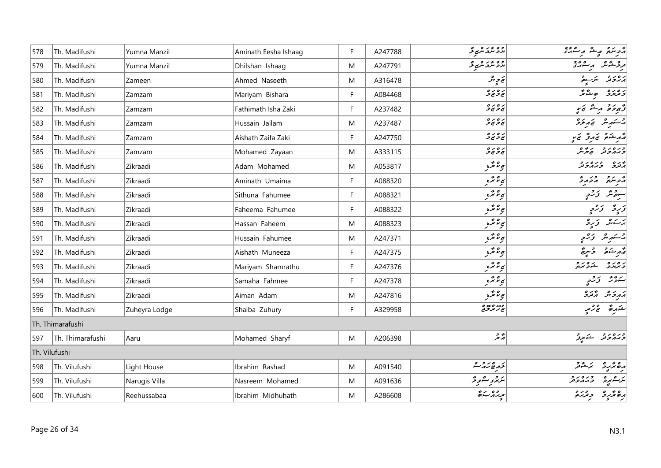| 578 | Th. Madifushi    | Yumna Manzil  | Aminath Eesha Ishaag | F         | A247788 | وه پره ه<br>در مرد مربح د              | ۇ ئەستۇر مەيش مەسىر ئە                               |
|-----|------------------|---------------|----------------------|-----------|---------|----------------------------------------|------------------------------------------------------|
| 579 | Th. Madifushi    | Yumna Manzil  | Dhilshan Ishaag      | ${\sf M}$ | A247791 | وه پر م<br>مرد سرد سر <sub>ی</sub> بر  | لروشة ومشترة                                         |
| 580 | Th. Madifushi    | Zameen        | Ahmed Naseeth        | ${\sf M}$ | A316478 | ىئىم پىتىر                             |                                                      |
| 581 | Th. Madifushi    | Zamzam        | Mariyam Bishara      | F         | A084468 | ر ه ر ه<br>پخ گري                      | ره ره پخته                                           |
| 582 | Th. Madifushi    | Zamzam        | Fathimath Isha Zaki  | F         | A237482 | ر ه ر ه<br>پح بر بر                    | توجوخو مشكر                                          |
| 583 | Th. Madifushi    | Zamzam        | Hussain Jailam       | ${\sf M}$ | A237487 | ر ه ر ه<br>پح بخ ب                     | برسكريش فيركز                                        |
| 584 | Th. Madifushi    | Zamzam        | Aishath Zaifa Zaki   | F         | A247750 | ر ه ر ه<br>پح د بح                     |                                                      |
| 585 | Th. Madifushi    | Zamzam        | Mohamed Zayaan       | M         | A333115 | ر ه ر ه<br>پح بخ ب                     | כנסנכ נפס                                            |
| 586 | Th. Madifushi    | Zikraadi      | Adam Mohamed         | M         | A053817 | ىپرىمىگىر                              | برره وره رو<br>پرترو وبرپروتر                        |
| 587 | Th. Madifushi    | Zikraadi      | Aminath Umaima       | F         | A088320 | ىپە ئەتىر<br>بىر                       | أأوسكم المكرمرة                                      |
| 588 | Th. Madifushi    | Zikraadi      | Sithuna Fahumee      | F         | A088321 | بېرغمنځو                               | سوەپتىر ئۈرخىي                                       |
| 589 | Th. Madifushi    | Zikraadi      | Faheema Fahumee      | F         | A088322 | ېږمىگو                                 | وَرِدٌ وَرَّدٍ                                       |
| 590 | Th. Madifushi    | Zikraadi      | Hassan Faheem        | ${\sf M}$ | A088323 | ىپرىشمىز                               | برسەش تەرپى                                          |
| 591 | Th. Madifushi    | Zikraadi      | Hussain Fahumee      | M         | A247371 | ېږمىگو                                 | يز سكر مثل الوكرمي                                   |
| 592 | Th. Madifushi    | Zikraadi      | Aishath Muneeza      | F         | A247375 | بېرغېڅو                                |                                                      |
| 593 | Th. Madifushi    | Zikraadi      | Mariyam Shamrathu    | F         | A247376 | ىپرىشمىز                               | ر ه ر ه<br>د بربرگ<br>شەھ بر د                       |
| 594 | Th. Madifushi    | Zikraadi      | Samaha Fahmee        | F         | A247378 | ېږمىگو                                 | سەۋرى ئەرجى                                          |
| 595 | Th. Madifushi    | Zikraadi      | Aiman Adam           | ${\sf M}$ | A247816 | ېږېږي                                  | ההכיל הינכ                                           |
| 596 | Th. Madifushi    | Zuheyra Lodge | Shaiba Zuhury        | F         | A329958 | وړ پر پو ه<br>مح مر <del>م</del> رمو ح | شەرەھ سى تەسمە                                       |
|     | Th. Thimarafushi |               |                      |           |         |                                        |                                                      |
| 597 | Th. Thimarafushi | Aaru          | Mohamed Sharyf       | ${\sf M}$ | A206398 | پر پر                                  | ورەرو شەيرۇ                                          |
|     | Th. Vilufushi    |               |                      |           |         |                                        |                                                      |
| 598 | Th. Vilufushi    | Light House   | Ibrahim Rashad       | ${\sf M}$ | A091540 | خهرهج ترور مع                          | ەرھ ئ <sup>ۆ</sup> ر ۋ<br>ىر شەقر                    |
| 599 | Th. Vilufushi    | Narugis Villa | Nasreem Mohamed      | M         | A091636 | ىئەترى <sub>ر</sub> مەھرىگە<br>مەسىر   | بترشمبرد<br>و ره ر و<br><i>و ټ</i> ه <del>ر</del> تر |
| 600 | Th. Vilufushi    | Reehussabaa   | Ibrahim Midhuhath    | ${\sf M}$ | A286608 | برروم بره                              | مەشرە جىرىم                                          |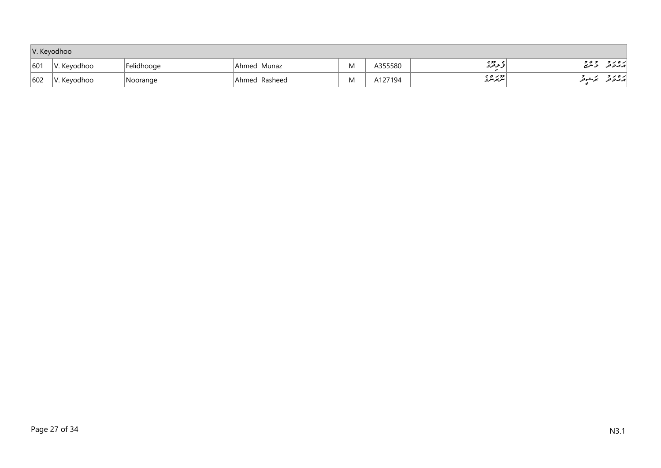|     | V. Keyodhoo |          |                  |       |         |            |                                       |  |
|-----|-------------|----------|------------------|-------|---------|------------|---------------------------------------|--|
| 601 | Keyodhoo    | lidhooge | 'Ahmeo<br>Munaz  | . IVI | 4355580 | 52<br>وقرى | コクコ<br>ا ره ر د<br>  پر بر تر<br>وسرج |  |
| 602 | Keyodhoo    | Moorange | Rasheed<br>Ahmec | - M   | 127194  | پیر پر ہ   | 2001<br>  پر بر ور                    |  |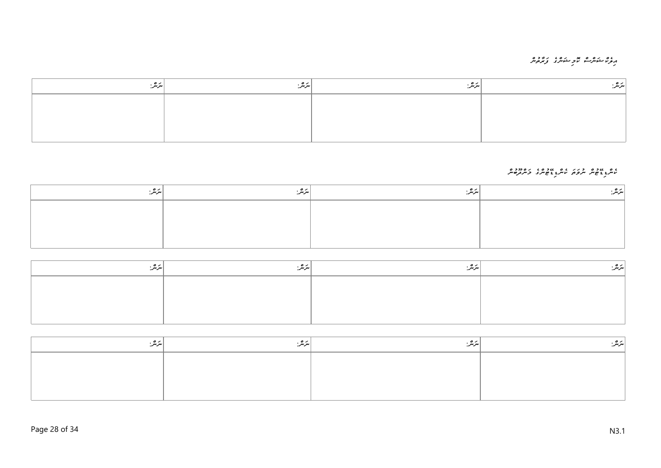## *w7qAn8m? sCw7mRo>u; wEw7mRw;sBo<*

| ' مرمر | 'يئرىثر: |
|--------|----------|
|        |          |
|        |          |
|        |          |

## *w7q9r@w7m> sCw7qHtFoFw7s; mAm=q7 w7qHtFoFw7s;*

| ىر تە | $\mathcal{O} \times$<br>$\sim$ | $\sim$<br>. . | لترنثر |
|-------|--------------------------------|---------------|--------|
|       |                                |               |        |
|       |                                |               |        |
|       |                                |               |        |

| $\frac{2}{n}$ | $^{\circ}$ | $\frac{2}{n}$ | $^{\circ}$<br>سرسر. |
|---------------|------------|---------------|---------------------|
|               |            |               |                     |
|               |            |               |                     |
|               |            |               |                     |

| ' ئىرتىر: | سر سر |  |
|-----------|-------|--|
|           |       |  |
|           |       |  |
|           |       |  |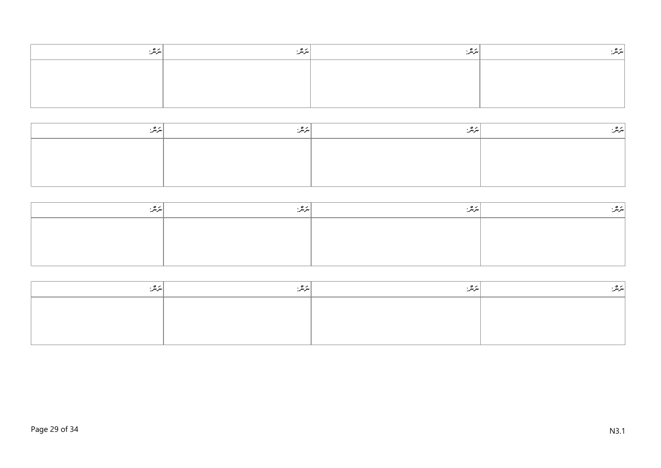| يره. | ο. | ا ير ه |  |
|------|----|--------|--|
|      |    |        |  |
|      |    |        |  |
|      |    |        |  |

| متريثر به | 。<br>'سرسر'۔ | يتزيترا | سرسر |
|-----------|--------------|---------|------|
|           |              |         |      |
|           |              |         |      |
|           |              |         |      |

| ىر تە | $\sim$ | ا بر هر: | $^{\circ}$<br>' سرسر. |
|-------|--------|----------|-----------------------|
|       |        |          |                       |
|       |        |          |                       |
|       |        |          |                       |

| يترمثر | $^{\circ}$ | ىر پىر |
|--------|------------|--------|
|        |            |        |
|        |            |        |
|        |            |        |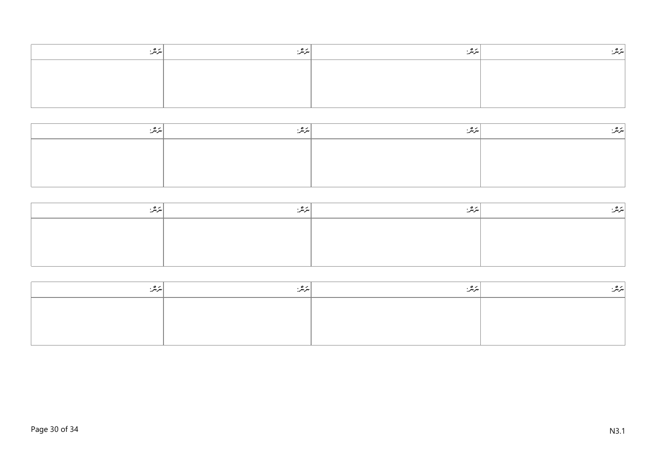| ير هو . | $\overline{\phantom{a}}$ | يرمر | اير هنه. |
|---------|--------------------------|------|----------|
|         |                          |      |          |
|         |                          |      |          |
|         |                          |      |          |

| ىر تىر: | $\circ$ $\sim$<br>" سرسر . | يترمير | o . |
|---------|----------------------------|--------|-----|
|         |                            |        |     |
|         |                            |        |     |
|         |                            |        |     |

| ابترىش: | $^{\circ}$<br>. . |  |
|---------|-------------------|--|
|         |                   |  |
|         |                   |  |
|         |                   |  |

|  | . ه |
|--|-----|
|  |     |
|  |     |
|  |     |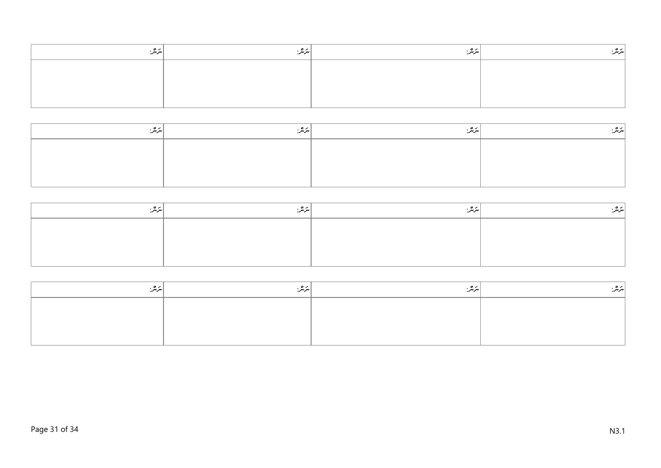| ير هو . | $\overline{\phantom{a}}$ | يرمر | اير هنه. |
|---------|--------------------------|------|----------|
|         |                          |      |          |
|         |                          |      |          |
|         |                          |      |          |

| ئىرتىر: | $\sim$<br>ا سرسر . | يئرمثر | o . |
|---------|--------------------|--------|-----|
|         |                    |        |     |
|         |                    |        |     |
|         |                    |        |     |

| 'تترنثر: | ο. | . .<br>يسمونس. |  |
|----------|----|----------------|--|
|          |    |                |  |
|          |    |                |  |
|          |    |                |  |

|  | . ه |
|--|-----|
|  |     |
|  |     |
|  |     |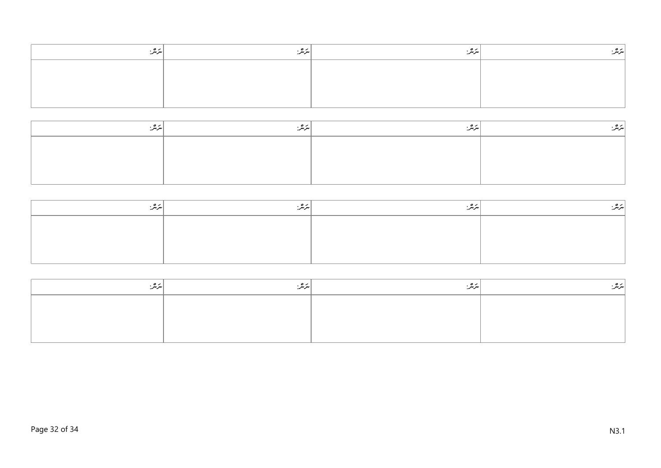| $\frac{\circ}{\cdot}$ | 。 | $\frac{\circ}{\cdot}$ | $\sim$<br>سرسر |
|-----------------------|---|-----------------------|----------------|
|                       |   |                       |                |
|                       |   |                       |                |
|                       |   |                       |                |

| ايرچر. | . . |  |
|--------|-----|--|
|        |     |  |
|        |     |  |
|        |     |  |

| بر ه | . ه | $\sim$<br>سرسر |  |
|------|-----|----------------|--|
|      |     |                |  |
|      |     |                |  |
|      |     |                |  |

| 。<br>. س | ىرىىر |  |
|----------|-------|--|
|          |       |  |
|          |       |  |
|          |       |  |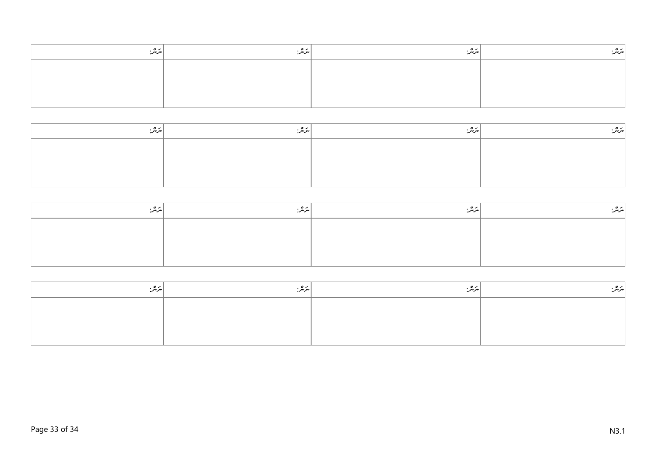| ير هو . | $\overline{\phantom{a}}$ | يرمر | اير هنه. |
|---------|--------------------------|------|----------|
|         |                          |      |          |
|         |                          |      |          |
|         |                          |      |          |

| ىر تىر: | $\circ$ $\sim$<br>" سرسر . | يترمير | o . |
|---------|----------------------------|--------|-----|
|         |                            |        |     |
|         |                            |        |     |
|         |                            |        |     |

| ابترىثر: | $^{\circ}$<br>. . |  |
|----------|-------------------|--|
|          |                   |  |
|          |                   |  |
|          |                   |  |

|  | . ه |
|--|-----|
|  |     |
|  |     |
|  |     |